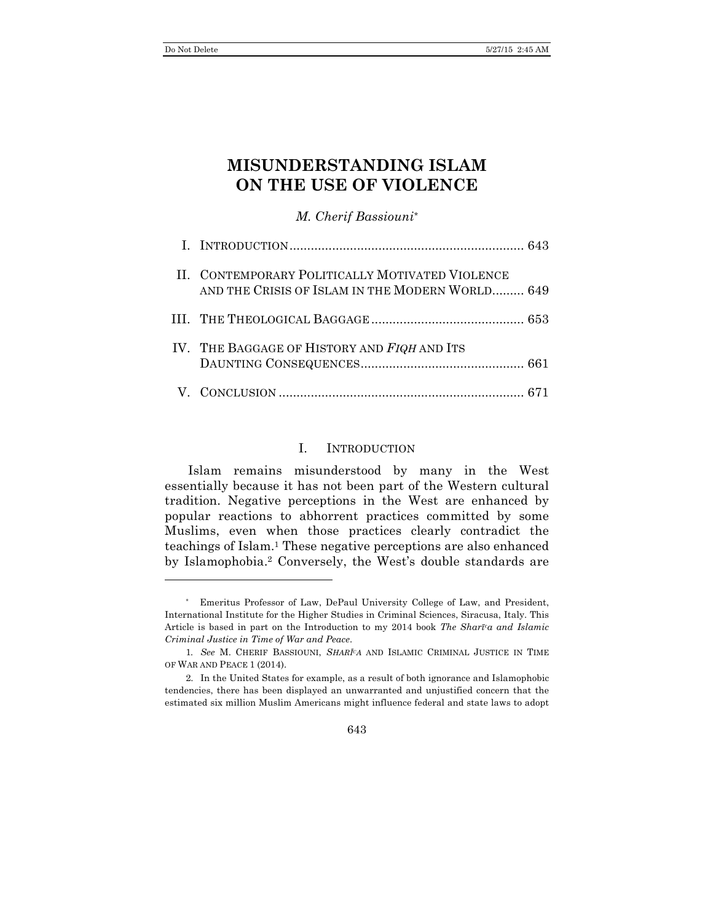# **MISUNDERSTANDING ISLAM ON THE USE OF VIOLENCE**

*M. Cherif Bassiouni\**

| II. CONTEMPORARY POLITICALLY MOTIVATED VIOLENCE<br>AND THE CRISIS OF ISLAM IN THE MODERN WORLD 649 |  |
|----------------------------------------------------------------------------------------------------|--|
|                                                                                                    |  |
| IV. THE BAGGAGE OF HISTORY AND FIGH AND ITS                                                        |  |
|                                                                                                    |  |

# I. INTRODUCTION

Islam remains misunderstood by many in the West essentially because it has not been part of the Western cultural tradition. Negative perceptions in the West are enhanced by popular reactions to abhorrent practices committed by some Muslims, even when those practices clearly contradict the teachings of Islam.1 These negative perceptions are also enhanced by Islamophobia.2 Conversely, the West's double standards are

643

<sup>\*</sup> Emeritus Professor of Law, DePaul University College of Law, and President, International Institute for the Higher Studies in Criminal Sciences, Siracusa, Italy. This Article is based in part on the Introduction to my 2014 book *The Sharīca and Islamic Criminal Justice in Time of War and Peace*.

<sup>1</sup>*. See* M. CHERIF BASSIOUNI, *SHARĪCA* AND ISLAMIC CRIMINAL JUSTICE IN TIME OF WAR AND PEACE 1 (2014).

<sup>2.</sup> In the United States for example, as a result of both ignorance and Islamophobic tendencies, there has been displayed an unwarranted and unjustified concern that the estimated six million Muslim Americans might influence federal and state laws to adopt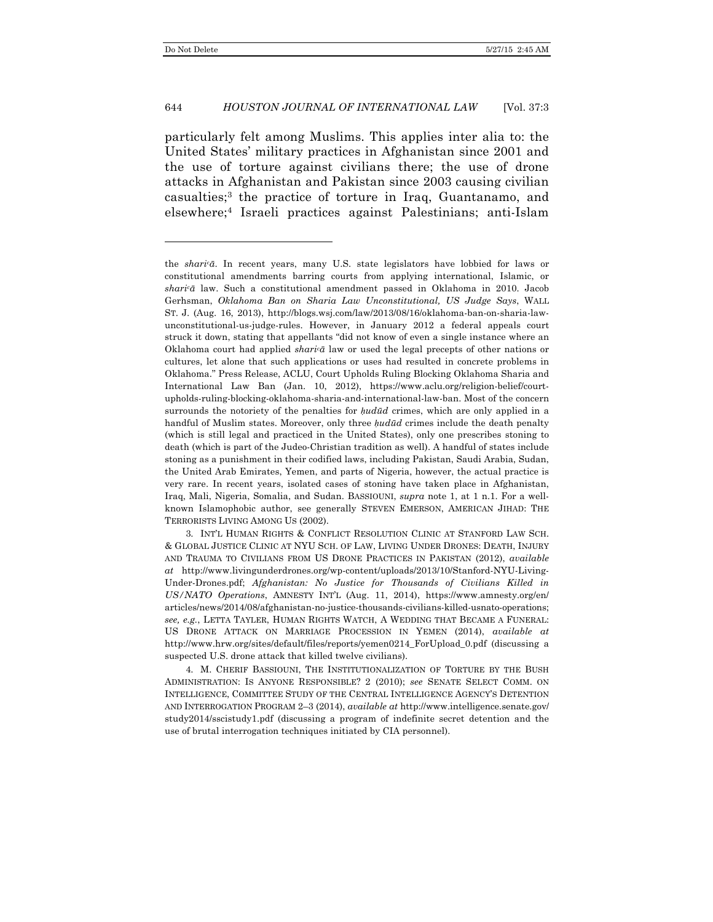#### 644 *HOUSTON JOURNAL OF INTERNATIONAL LAW* [Vol. 37:3

particularly felt among Muslims. This applies inter alia to: the United States' military practices in Afghanistan since 2001 and the use of torture against civilians there; the use of drone attacks in Afghanistan and Pakistan since 2003 causing civilian casualties;3 the practice of torture in Iraq, Guantanamo, and elsewhere;4 Israeli practices against Palestinians; anti-Islam

the *sharicā*. In recent years, many U.S. state legislators have lobbied for laws or constitutional amendments barring courts from applying international, Islamic, or *sharicā* law. Such a constitutional amendment passed in Oklahoma in 2010. Jacob Gerhsman, *Oklahoma Ban on Sharia Law Unconstitutional, US Judge Says*, WALL ST. J. (Aug. 16, 2013), http://blogs.wsj.com/law/2013/08/16/oklahoma-ban-on-sharia-lawunconstitutional-us-judge-rules. However, in January 2012 a federal appeals court struck it down, stating that appellants "did not know of even a single instance where an Oklahoma court had applied *sharicā* law or used the legal precepts of other nations or cultures, let alone that such applications or uses had resulted in concrete problems in Oklahoma." Press Release, ACLU, Court Upholds Ruling Blocking Oklahoma Sharia and International Law Ban (Jan. 10, 2012), https://www.aclu.org/religion-belief/courtupholds-ruling-blocking-oklahoma-sharia-and-international-law-ban. Most of the concern surrounds the notoriety of the penalties for *ḥudūd* crimes, which are only applied in a handful of Muslim states. Moreover, only three *ḥudūd* crimes include the death penalty (which is still legal and practiced in the United States), only one prescribes stoning to death (which is part of the Judeo-Christian tradition as well). A handful of states include stoning as a punishment in their codified laws, including Pakistan, Saudi Arabia, Sudan, the United Arab Emirates, Yemen, and parts of Nigeria, however, the actual practice is very rare. In recent years, isolated cases of stoning have taken place in Afghanistan, Iraq, Mali, Nigeria, Somalia, and Sudan. BASSIOUNI, *supra* note 1, at 1 n.1. For a wellknown Islamophobic author, see generally STEVEN EMERSON, AMERICAN JIHAD: THE TERRORISTS LIVING AMONG US (2002).

<sup>3.</sup> INT'L HUMAN RIGHTS & CONFLICT RESOLUTION CLINIC AT STANFORD LAW SCH. & GLOBAL JUSTICE CLINIC AT NYU SCH. OF LAW, LIVING UNDER DRONES: DEATH, INJURY AND TRAUMA TO CIVILIANS FROM US DRONE PRACTICES IN PAKISTAN (2012), *available at* http://www.livingunderdrones.org/wp-content/uploads/2013/10/Stanford-NYU-Living-Under-Drones.pdf; *Afghanistan: No Justice for Thousands of Civilians Killed in US/NATO Operations*, AMNESTY INT'L (Aug. 11, 2014), https://www.amnesty.org/en/ articles/news/2014/08/afghanistan-no-justice-thousands-civilians-killed-usnato-operations; *see, e.g.*, LETTA TAYLER, HUMAN RIGHTS WATCH, A WEDDING THAT BECAME A FUNERAL: US DRONE ATTACK ON MARRIAGE PROCESSION IN YEMEN (2014), *available at* http://www.hrw.org/sites/default/files/reports/yemen0214\_ForUpload\_0.pdf (discussing a suspected U.S. drone attack that killed twelve civilians).

<sup>4.</sup> M. CHERIF BASSIOUNI, THE INSTITUTIONALIZATION OF TORTURE BY THE BUSH ADMINISTRATION: IS ANYONE RESPONSIBLE? 2 (2010); *see* SENATE SELECT COMM. ON INTELLIGENCE, COMMITTEE STUDY OF THE CENTRAL INTELLIGENCE AGENCY'S DETENTION AND INTERROGATION PROGRAM 2–3 (2014), *available at* http://www.intelligence.senate.gov/ study2014/sscistudy1.pdf (discussing a program of indefinite secret detention and the use of brutal interrogation techniques initiated by CIA personnel).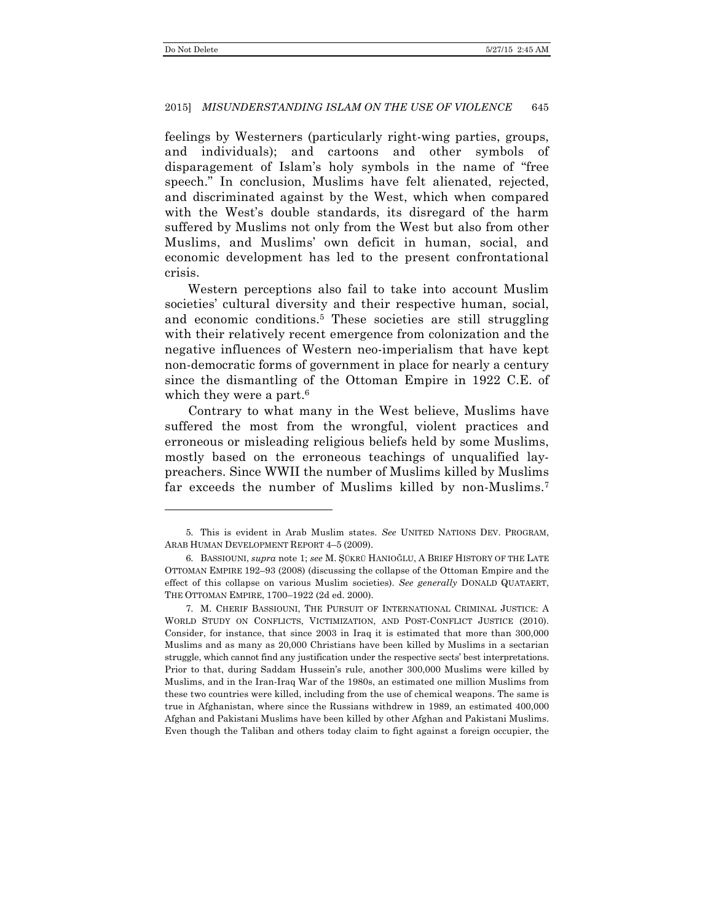#### 2015] *MISUNDERSTANDING ISLAM ON THE USE OF VIOLENCE* 645

feelings by Westerners (particularly right-wing parties, groups, and individuals); and cartoons and other symbols of disparagement of Islam's holy symbols in the name of "free speech." In conclusion, Muslims have felt alienated, rejected, and discriminated against by the West, which when compared with the West's double standards, its disregard of the harm suffered by Muslims not only from the West but also from other Muslims, and Muslims' own deficit in human, social, and economic development has led to the present confrontational crisis.

Western perceptions also fail to take into account Muslim societies' cultural diversity and their respective human, social, and economic conditions.5 These societies are still struggling with their relatively recent emergence from colonization and the negative influences of Western neo-imperialism that have kept non-democratic forms of government in place for nearly a century since the dismantling of the Ottoman Empire in 1922 C.E. of which they were a part.<sup>6</sup>

Contrary to what many in the West believe, Muslims have suffered the most from the wrongful, violent practices and erroneous or misleading religious beliefs held by some Muslims, mostly based on the erroneous teachings of unqualified laypreachers. Since WWII the number of Muslims killed by Muslims far exceeds the number of Muslims killed by non-Muslims.7

<sup>5.</sup> This is evident in Arab Muslim states. *See* UNITED NATIONS DEV. PROGRAM, ARAB HUMAN DEVELOPMENT REPORT 4–5 (2009).

<sup>6.</sup> BASSIOUNI, *supra* note 1; *see* M. ŞÜKRÜ HANIOĞLU, A BRIEF HISTORY OF THE LATE OTTOMAN EMPIRE 192–93 (2008) (discussing the collapse of the Ottoman Empire and the effect of this collapse on various Muslim societies). *See generally* DONALD QUATAERT, THE OTTOMAN EMPIRE, 1700–1922 (2d ed. 2000).

<sup>7.</sup> M. CHERIF BASSIOUNI, THE PURSUIT OF INTERNATIONAL CRIMINAL JUSTICE: A WORLD STUDY ON CONFLICTS, VICTIMIZATION, AND POST-CONFLICT JUSTICE (2010). Consider, for instance, that since 2003 in Iraq it is estimated that more than 300,000 Muslims and as many as 20,000 Christians have been killed by Muslims in a sectarian struggle, which cannot find any justification under the respective sects' best interpretations. Prior to that, during Saddam Hussein's rule, another 300,000 Muslims were killed by Muslims, and in the Iran-Iraq War of the 1980s, an estimated one million Muslims from these two countries were killed, including from the use of chemical weapons. The same is true in Afghanistan, where since the Russians withdrew in 1989, an estimated 400,000 Afghan and Pakistani Muslims have been killed by other Afghan and Pakistani Muslims. Even though the Taliban and others today claim to fight against a foreign occupier, the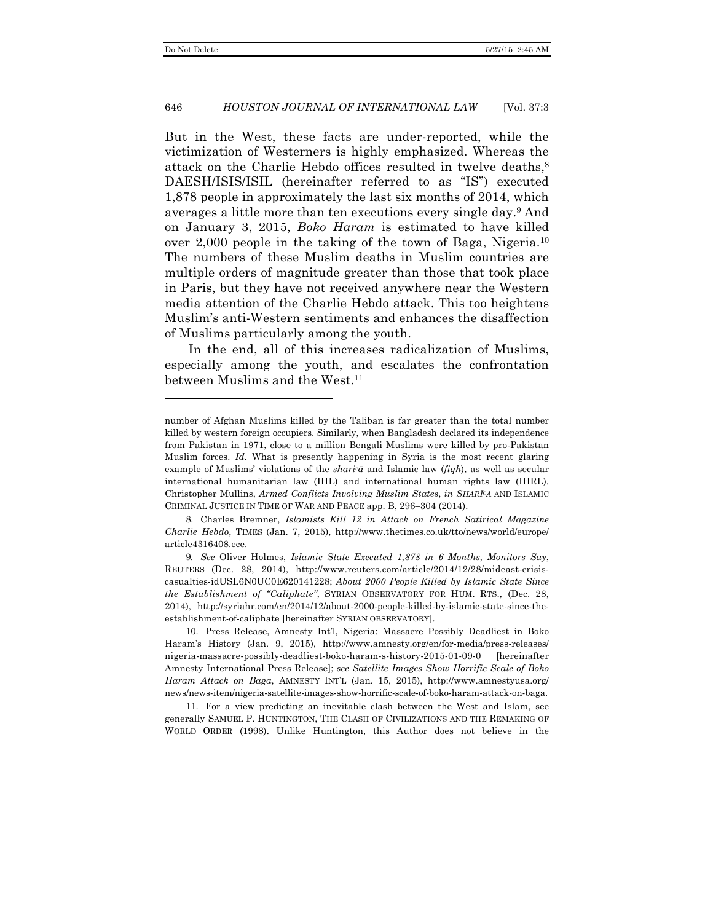# 646 *HOUSTON JOURNAL OF INTERNATIONAL LAW* [Vol. 37:3

But in the West, these facts are under-reported, while the victimization of Westerners is highly emphasized. Whereas the attack on the Charlie Hebdo offices resulted in twelve deaths,<sup>8</sup> DAESH/ISIS/ISIL (hereinafter referred to as "IS") executed 1,878 people in approximately the last six months of 2014, which averages a little more than ten executions every single day.9 And on January 3, 2015, *Boko Haram* is estimated to have killed over 2,000 people in the taking of the town of Baga, Nigeria.10 The numbers of these Muslim deaths in Muslim countries are multiple orders of magnitude greater than those that took place in Paris, but they have not received anywhere near the Western media attention of the Charlie Hebdo attack. This too heightens Muslim's anti-Western sentiments and enhances the disaffection of Muslims particularly among the youth.

In the end, all of this increases radicalization of Muslims, especially among the youth, and escalates the confrontation between Muslims and the West.<sup>11</sup>

number of Afghan Muslims killed by the Taliban is far greater than the total number killed by western foreign occupiers. Similarly, when Bangladesh declared its independence from Pakistan in 1971, close to a million Bengali Muslims were killed by pro-Pakistan Muslim forces. *Id.* What is presently happening in Syria is the most recent glaring example of Muslims' violations of the *sharicā* and Islamic law (*fiqh*), as well as secular international humanitarian law (IHL) and international human rights law (IHRL). Christopher Mullins, *Armed Conflicts Involving Muslim States*, *in SHARĪCA* AND ISLAMIC CRIMINAL JUSTICE IN TIME OF WAR AND PEACE app. B, 296–304 (2014).

<sup>8.</sup> Charles Bremner, *Islamists Kill 12 in Attack on French Satirical Magazine Charlie Hebdo*, TIMES (Jan. 7, 2015), http://www.thetimes.co.uk/tto/news/world/europe/ article4316408.ece.

<sup>9</sup>*. See* Oliver Holmes, *Islamic State Executed 1,878 in 6 Months, Monitors Say*, REUTERS (Dec. 28, 2014), http://www.reuters.com/article/2014/12/28/mideast-crisiscasualties-idUSL6N0UC0E620141228; *About 2000 People Killed by Islamic State Since the Establishment of "Caliphate"*, SYRIAN OBSERVATORY FOR HUM. RTS., (Dec. 28, 2014), http://syriahr.com/en/2014/12/about-2000-people-killed-by-islamic-state-since-theestablishment-of-caliphate [hereinafter SYRIAN OBSERVATORY].

<sup>10.</sup> Press Release, Amnesty Int'l, Nigeria: Massacre Possibly Deadliest in Boko Haram's History (Jan. 9, 2015), http://www.amnesty.org/en/for-media/press-releases/ nigeria-massacre-possibly-deadliest-boko-haram-s-history-2015-01-09-0 [hereinafter Amnesty International Press Release]; *see Satellite Images Show Horrific Scale of Boko Haram Attack on Baga*, AMNESTY INT'L (Jan. 15, 2015), http://www.amnestyusa.org/ news/news-item/nigeria-satellite-images-show-horrific-scale-of-boko-haram-attack-on-baga.

<sup>11.</sup> For a view predicting an inevitable clash between the West and Islam, see generally SAMUEL P. HUNTINGTON, THE CLASH OF CIVILIZATIONS AND THE REMAKING OF WORLD ORDER (1998). Unlike Huntington, this Author does not believe in the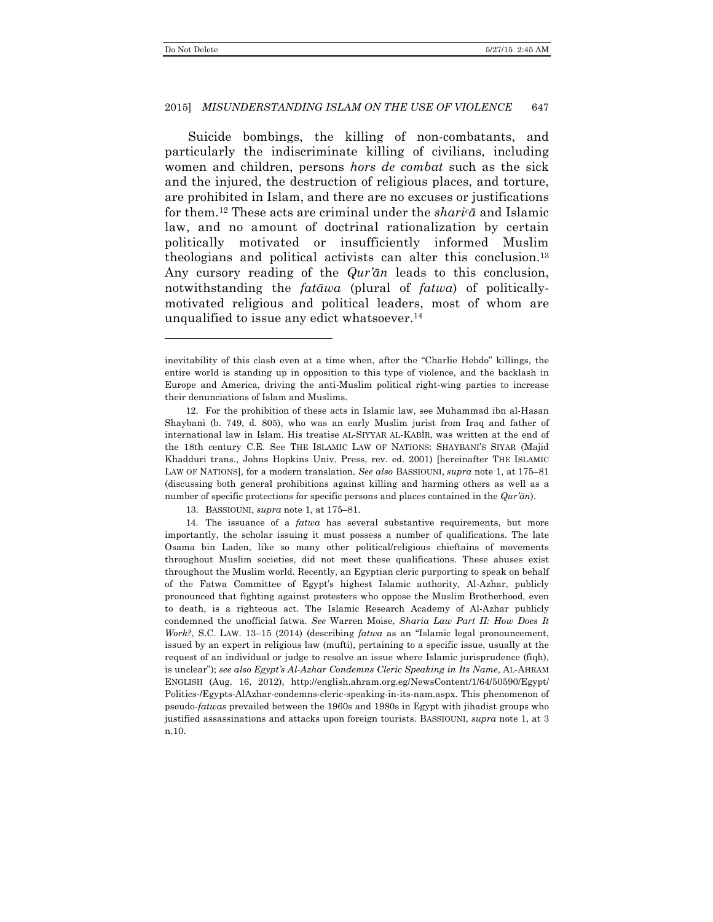#### 2015] *MISUNDERSTANDING ISLAM ON THE USE OF VIOLENCE* 647

Suicide bombings, the killing of non-combatants, and particularly the indiscriminate killing of civilians, including women and children, persons *hors de combat* such as the sick and the injured, the destruction of religious places, and torture, are prohibited in Islam, and there are no excuses or justifications for them.12 These acts are criminal under the *sharicā* and Islamic law, and no amount of doctrinal rationalization by certain politically motivated or insufficiently informed Muslim theologians and political activists can alter this conclusion.13 Any cursory reading of the *Qur'ān* leads to this conclusion, notwithstanding the *fatāwa* (plural of *fatwa*) of politicallymotivated religious and political leaders, most of whom are unqualified to issue any edict whatsoever.14

inevitability of this clash even at a time when, after the "Charlie Hebdo" killings, the entire world is standing up in opposition to this type of violence, and the backlash in Europe and America, driving the anti-Muslim political right-wing parties to increase their denunciations of Islam and Muslims.

<sup>12.</sup> For the prohibition of these acts in Islamic law, see Muhammad ibn al-Hasan Shaybani (b. 749, d. 805), who was an early Muslim jurist from Iraq and father of international law in Islam. His treatise AL-SIYYAR AL-KABĪR, was written at the end of the 18th century C.E. See THE ISLAMIC LAW OF NATIONS: SHAYBANI'S SIYAR (Majid Khadduri trans., Johns Hopkins Univ. Press, rev. ed. 2001) [hereinafter THE ISLAMIC LAW OF NATIONS], for a modern translation. *See also* BASSIOUNI, *supra* note 1, at 175–81 (discussing both general prohibitions against killing and harming others as well as a number of specific protections for specific persons and places contained in the *Qur'ān*).

<sup>13.</sup> BASSIOUNI, *supra* note 1, at 175–81.

<sup>14.</sup> The issuance of a *fatwa* has several substantive requirements, but more importantly, the scholar issuing it must possess a number of qualifications. The late Osama bin Laden, like so many other political/religious chieftains of movements throughout Muslim societies, did not meet these qualifications. These abuses exist throughout the Muslim world. Recently, an Egyptian cleric purporting to speak on behalf of the Fatwa Committee of Egypt's highest Islamic authority, Al-Azhar, publicly pronounced that fighting against protesters who oppose the Muslim Brotherhood, even to death, is a righteous act. The Islamic Research Academy of Al-Azhar publicly condemned the unofficial fatwa. *See* Warren Moise, *Sharia Law Part II: How Does It Work?*, S.C. LAW. 13–15 (2014) (describing *fatwa* as an "Islamic legal pronouncement, issued by an expert in religious law (mufti), pertaining to a specific issue, usually at the request of an individual or judge to resolve an issue where Islamic jurisprudence (fiqh), is unclear"); *see also Egypt's Al-Azhar Condemns Cleric Speaking in Its Name*, AL-AHRAM ENGLISH (Aug. 16, 2012), http://english.ahram.org.eg/NewsContent/1/64/50590/Egypt/ Politics-/Egypts-AlAzhar-condemns-cleric-speaking-in-its-nam.aspx. This phenomenon of pseudo-*fatwas* prevailed between the 1960s and 1980s in Egypt with jihadist groups who justified assassinations and attacks upon foreign tourists. BASSIOUNI, *supra* note 1, at 3 n.10.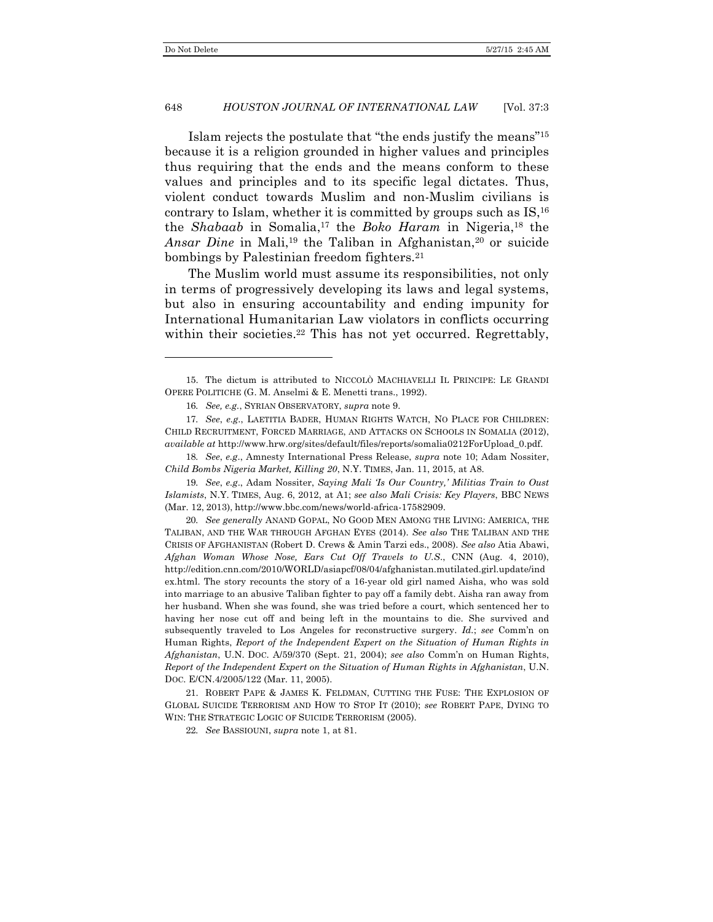#### 648 *HOUSTON JOURNAL OF INTERNATIONAL LAW* [Vol. 37:3

Islam rejects the postulate that "the ends justify the means"15 because it is a religion grounded in higher values and principles thus requiring that the ends and the means conform to these values and principles and to its specific legal dictates. Thus, violent conduct towards Muslim and non-Muslim civilians is contrary to Islam, whether it is committed by groups such as IS,16 the *Shabaab* in Somalia,17 the *Boko Haram* in Nigeria,18 the *Ansar Dine* in Mali,<sup>19</sup> the Taliban in Afghanistan,<sup>20</sup> or suicide bombings by Palestinian freedom fighters.<sup>21</sup>

The Muslim world must assume its responsibilities, not only in terms of progressively developing its laws and legal systems, but also in ensuring accountability and ending impunity for International Humanitarian Law violators in conflicts occurring within their societies.<sup>22</sup> This has not yet occurred. Regrettably,

<sup>15.</sup> The dictum is attributed to NICCOLÒ MACHIAVELLI IL PRINCIPE: LE GRANDI OPERE POLITICHE (G. M. Anselmi & E. Menetti trans., 1992).

<sup>16</sup>*. See, e.g.*, SYRIAN OBSERVATORY, *supra* note 9.

<sup>17</sup>*. See*, *e.g*., LAETITIA BADER, HUMAN RIGHTS WATCH, NO PLACE FOR CHILDREN: CHILD RECRUITMENT, FORCED MARRIAGE, AND ATTACKS ON SCHOOLS IN SOMALIA (2012), *available at* http://www.hrw.org/sites/default/files/reports/somalia0212ForUpload\_0.pdf.

<sup>18</sup>*. See*, *e.g*., Amnesty International Press Release, *supra* note 10; Adam Nossiter, *Child Bombs Nigeria Market, Killing 20*, N.Y. TIMES, Jan. 11, 2015, at A8.

<sup>19</sup>*. See*, *e.g*., Adam Nossiter, *Saying Mali 'Is Our Country,' Militias Train to Oust Islamists*, N.Y. TIMES, Aug. 6, 2012, at A1; *see also Mali Crisis: Key Players*, BBC NEWS (Mar. 12, 2013), http://www.bbc.com/news/world-africa-17582909.

<sup>20</sup>*. See generally* ANAND GOPAL, NO GOOD MEN AMONG THE LIVING: AMERICA, THE TALIBAN, AND THE WAR THROUGH AFGHAN EYES (2014). *See also* THE TALIBAN AND THE CRISIS OF AFGHANISTAN (Robert D. Crews & Amin Tarzi eds., 2008). *See also* Atia Abawi, *Afghan Woman Whose Nose, Ears Cut Off Travels to U.S*., CNN (Aug. 4, 2010), http://edition.cnn.com/2010/WORLD/asiapcf/08/04/afghanistan.mutilated.girl.update/ind ex.html. The story recounts the story of a 16-year old girl named Aisha, who was sold into marriage to an abusive Taliban fighter to pay off a family debt. Aisha ran away from her husband. When she was found, she was tried before a court, which sentenced her to having her nose cut off and being left in the mountains to die. She survived and subsequently traveled to Los Angeles for reconstructive surgery. *Id.*; *see* Comm'n on Human Rights, *Report of the Independent Expert on the Situation of Human Rights in Afghanistan*, U.N. DOC. A/59/370 (Sept. 21, 2004); *see also* Comm'n on Human Rights, *Report of the Independent Expert on the Situation of Human Rights in Afghanistan*, U.N. DOC. E/CN.4/2005/122 (Mar. 11, 2005).

<sup>21.</sup> ROBERT PAPE & JAMES K. FELDMAN, CUTTING THE FUSE: THE EXPLOSION OF GLOBAL SUICIDE TERRORISM AND HOW TO STOP IT (2010); *see* ROBERT PAPE, DYING TO WIN: THE STRATEGIC LOGIC OF SUICIDE TERRORISM (2005).

<sup>22</sup>*. See* BASSIOUNI, *supra* note 1, at 81.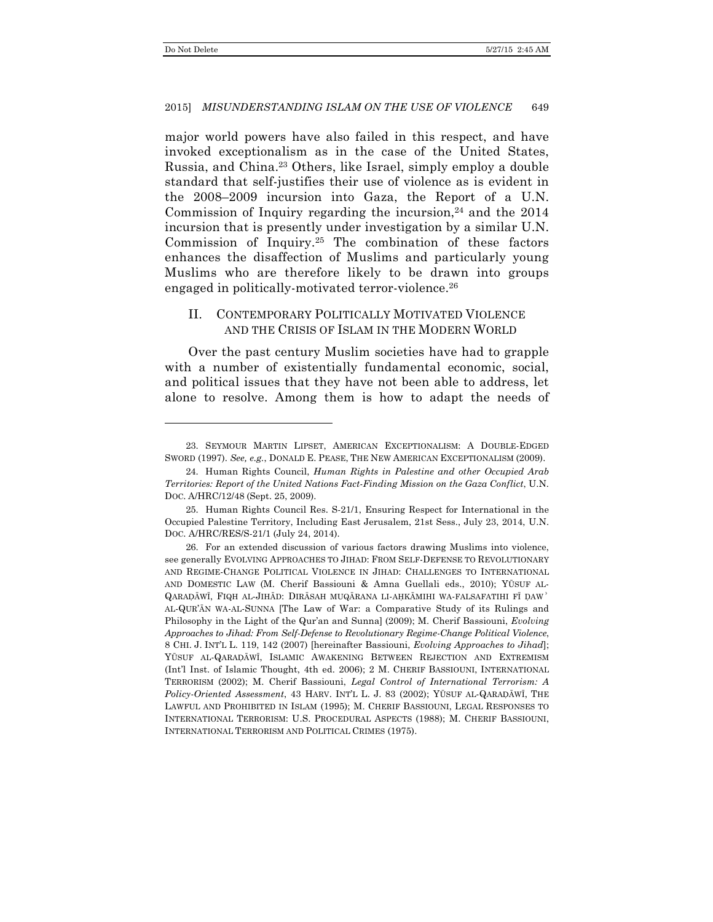## 2015] *MISUNDERSTANDING ISLAM ON THE USE OF VIOLENCE* 649

major world powers have also failed in this respect, and have invoked exceptionalism as in the case of the United States, Russia, and China.23 Others, like Israel, simply employ a double standard that self-justifies their use of violence as is evident in the 2008–2009 incursion into Gaza, the Report of a U.N. Commission of Inquiry regarding the incursion,  $24$  and the 2014 incursion that is presently under investigation by a similar U.N. Commission of Inquiry.25 The combination of these factors enhances the disaffection of Muslims and particularly young Muslims who are therefore likely to be drawn into groups engaged in politically-motivated terror-violence.26

# II. CONTEMPORARY POLITICALLY MOTIVATED VIOLENCE AND THE CRISIS OF ISLAM IN THE MODERN WORLD

Over the past century Muslim societies have had to grapple with a number of existentially fundamental economic, social, and political issues that they have not been able to address, let alone to resolve. Among them is how to adapt the needs of

<sup>23.</sup> SEYMOUR MARTIN LIPSET, AMERICAN EXCEPTIONALISM: A DOUBLE-EDGED SWORD (1997). *See, e.g.*, DONALD E. PEASE, THE NEW AMERICAN EXCEPTIONALISM (2009).

<sup>24.</sup> Human Rights Council, *Human Rights in Palestine and other Occupied Arab Territories: Report of the United Nations Fact-Finding Mission on the Gaza Conflict*, U.N. DOC. A/HRC/12/48 (Sept. 25, 2009).

<sup>25.</sup> Human Rights Council Res. S-21/1, Ensuring Respect for International in the Occupied Palestine Territory, Including East Jerusalem, 21st Sess., July 23, 2014, U.N. DOC. A/HRC/RES/S-21/1 (July 24, 2014).

<sup>26.</sup> For an extended discussion of various factors drawing Muslims into violence, see generally EVOLVING APPROACHES TO JIHAD: FROM SELF-DEFENSE TO REVOLUTIONARY AND REGIME-CHANGE POLITICAL VIOLENCE IN JIHAD: CHALLENGES TO INTERNATIONAL AND DOMESTIC LAW (M. Cherif Bassiouni & Amna Guellali eds., 2010); YŪSUF AL-QARADĀWĪ, FIQH AL-JIHĀD: DIRĀSAH MUQĀRANA LI-AḤKĀMIHI WA-FALSAFATIHI FĪ DAW<sup>,</sup> AL-QUR'ĀN WA-AL-SUNNA [The Law of War: a Comparative Study of its Rulings and Philosophy in the Light of the Qur'an and Sunna] (2009); M. Cherif Bassiouni, *Evolving Approaches to Jihad: From Self-Defense to Revolutionary Regime-Change Political Violence*, 8 CHI. J. INT'L L. 119, 142 (2007) [hereinafter Bassiouni, *Evolving Approaches to Jihad*]; YŪSUF AL-QARAḌĀWĪ, ISLAMIC AWAKENING BETWEEN REJECTION AND EXTREMISM (Int'l Inst. of Islamic Thought, 4th ed. 2006); 2 M. CHERIF BASSIOUNI, INTERNATIONAL TERRORISM (2002); M. Cherif Bassiouni, *Legal Control of International Terrorism: A Policy-Oriented Assessment*, 43 HARV. INT'L L. J. 83 (2002); YŪSUF AL-QARAḌĀWĪ, THE LAWFUL AND PROHIBITED IN ISLAM (1995); M. CHERIF BASSIOUNI, LEGAL RESPONSES TO INTERNATIONAL TERRORISM: U.S. PROCEDURAL ASPECTS (1988); M. CHERIF BASSIOUNI, INTERNATIONAL TERRORISM AND POLITICAL CRIMES (1975).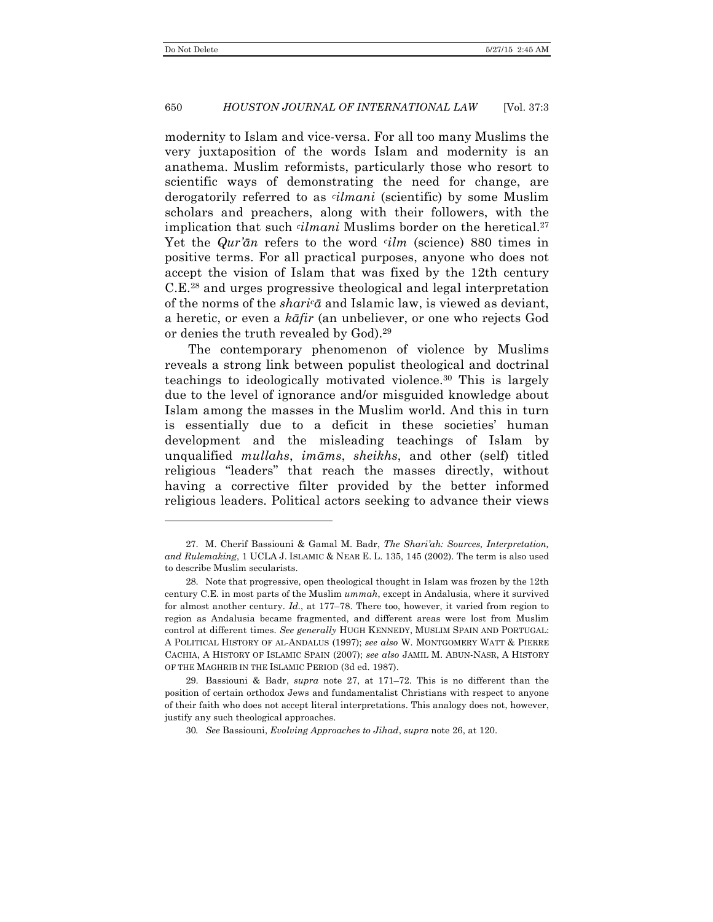#### 650 *HOUSTON JOURNAL OF INTERNATIONAL LAW* [Vol. 37:3

modernity to Islam and vice-versa. For all too many Muslims the very juxtaposition of the words Islam and modernity is an anathema. Muslim reformists, particularly those who resort to scientific ways of demonstrating the need for change, are derogatorily referred to as *cilmani* (scientific) by some Muslim scholars and preachers, along with their followers, with the implication that such *cilmani* Muslims border on the heretical.<sup>27</sup> Yet the *Qur'ān* refers to the word *cilm* (science) 880 times in positive terms. For all practical purposes, anyone who does not accept the vision of Islam that was fixed by the 12th century C.E.28 and urges progressive theological and legal interpretation of the norms of the *sharicā* and Islamic law, is viewed as deviant, a heretic, or even a *kāfir* (an unbeliever, or one who rejects God or denies the truth revealed by God).29

The contemporary phenomenon of violence by Muslims reveals a strong link between populist theological and doctrinal teachings to ideologically motivated violence.30 This is largely due to the level of ignorance and/or misguided knowledge about Islam among the masses in the Muslim world. And this in turn is essentially due to a deficit in these societies' human development and the misleading teachings of Islam by unqualified *mullahs*, *imāms*, *sheikhs*, and other (self) titled religious "leaders" that reach the masses directly, without having a corrective filter provided by the better informed religious leaders. Political actors seeking to advance their views

<sup>27.</sup> M. Cherif Bassiouni & Gamal M. Badr, *The Shari'ah: Sources, Interpretation, and Rulemaking*, 1 UCLA J. ISLAMIC & NEAR E. L. 135, 145 (2002). The term is also used to describe Muslim secularists.

<sup>28.</sup> Note that progressive, open theological thought in Islam was frozen by the 12th century C.E. in most parts of the Muslim *ummah*, except in Andalusia, where it survived for almost another century. *Id.*, at 177–78. There too, however, it varied from region to region as Andalusia became fragmented, and different areas were lost from Muslim control at different times. *See generally* HUGH KENNEDY, MUSLIM SPAIN AND PORTUGAL: A POLITICAL HISTORY OF AL-ANDALUS (1997); *see also* W. MONTGOMERY WATT & PIERRE CACHIA, A HISTORY OF ISLAMIC SPAIN (2007); *see also* JAMIL M. ABUN-NASR, A HISTORY OF THE MAGHRIB IN THE ISLAMIC PERIOD (3d ed. 1987).

<sup>29.</sup> Bassiouni & Badr, *supra* note 27, at 171–72. This is no different than the position of certain orthodox Jews and fundamentalist Christians with respect to anyone of their faith who does not accept literal interpretations. This analogy does not, however, justify any such theological approaches.

<sup>30</sup>*. See* Bassiouni, *Evolving Approaches to Jihad*, *supra* note 26, at 120.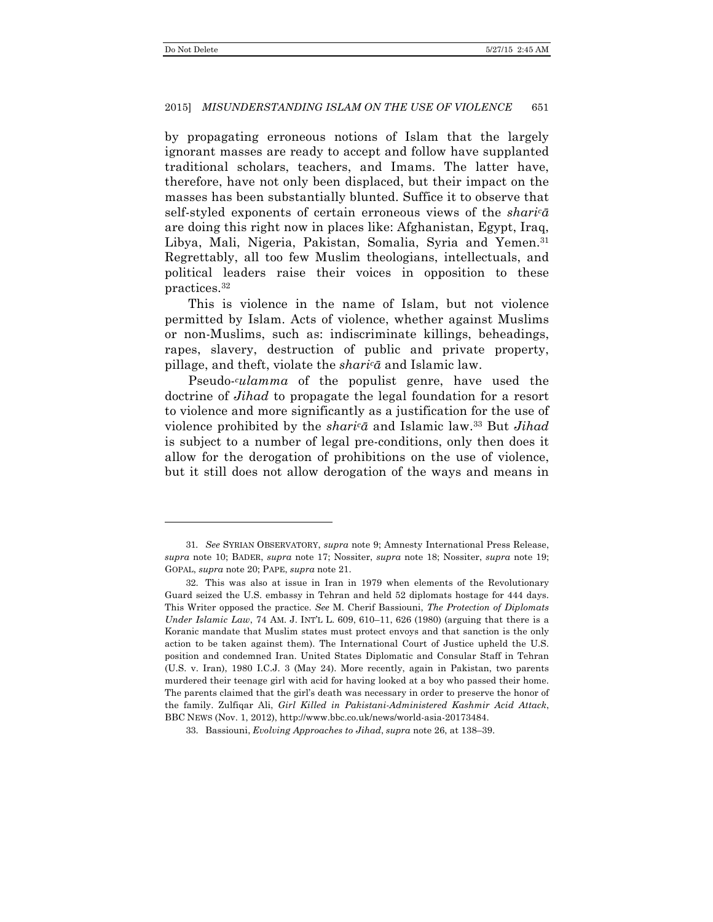#### 2015] *MISUNDERSTANDING ISLAM ON THE USE OF VIOLENCE* 651

by propagating erroneous notions of Islam that the largely ignorant masses are ready to accept and follow have supplanted traditional scholars, teachers, and Imams. The latter have, therefore, have not only been displaced, but their impact on the masses has been substantially blunted. Suffice it to observe that self-styled exponents of certain erroneous views of the *sharicā* are doing this right now in places like: Afghanistan, Egypt, Iraq, Libya, Mali, Nigeria, Pakistan, Somalia, Syria and Yemen.31 Regrettably, all too few Muslim theologians, intellectuals, and political leaders raise their voices in opposition to these practices.32

This is violence in the name of Islam, but not violence permitted by Islam. Acts of violence, whether against Muslims or non-Muslims, such as: indiscriminate killings, beheadings, rapes, slavery, destruction of public and private property, pillage, and theft, violate the *sharicā* and Islamic law.

Pseudo-*culamma* of the populist genre, have used the doctrine of *Jihad* to propagate the legal foundation for a resort to violence and more significantly as a justification for the use of violence prohibited by the *sharicā* and Islamic law.33 But *Jihad* is subject to a number of legal pre-conditions, only then does it allow for the derogation of prohibitions on the use of violence, but it still does not allow derogation of the ways and means in

<sup>31</sup>*. See* SYRIAN OBSERVATORY, *supra* note 9; Amnesty International Press Release, *supra* note 10; BADER, *supra* note 17; Nossiter, *supra* note 18; Nossiter, *supra* note 19; GOPAL, *supra* note 20; PAPE, *supra* note 21.

<sup>32.</sup> This was also at issue in Iran in 1979 when elements of the Revolutionary Guard seized the U.S. embassy in Tehran and held 52 diplomats hostage for 444 days. This Writer opposed the practice. *See* M. Cherif Bassiouni, *The Protection of Diplomats Under Islamic Law*, 74 AM. J. INT'L L. 609, 610–11, 626 (1980) (arguing that there is a Koranic mandate that Muslim states must protect envoys and that sanction is the only action to be taken against them). The International Court of Justice upheld the U.S. position and condemned Iran. United States Diplomatic and Consular Staff in Tehran (U.S. v. Iran), 1980 I.C.J. 3 (May 24). More recently, again in Pakistan, two parents murdered their teenage girl with acid for having looked at a boy who passed their home. The parents claimed that the girl's death was necessary in order to preserve the honor of the family. Zulfiqar Ali, *Girl Killed in Pakistani-Administered Kashmir Acid Attack*, BBC NEWS (Nov. 1, 2012), http://www.bbc.co.uk/news/world-asia-20173484.

<sup>33.</sup> Bassiouni, *Evolving Approaches to Jihad*, *supra* note 26, at 138–39.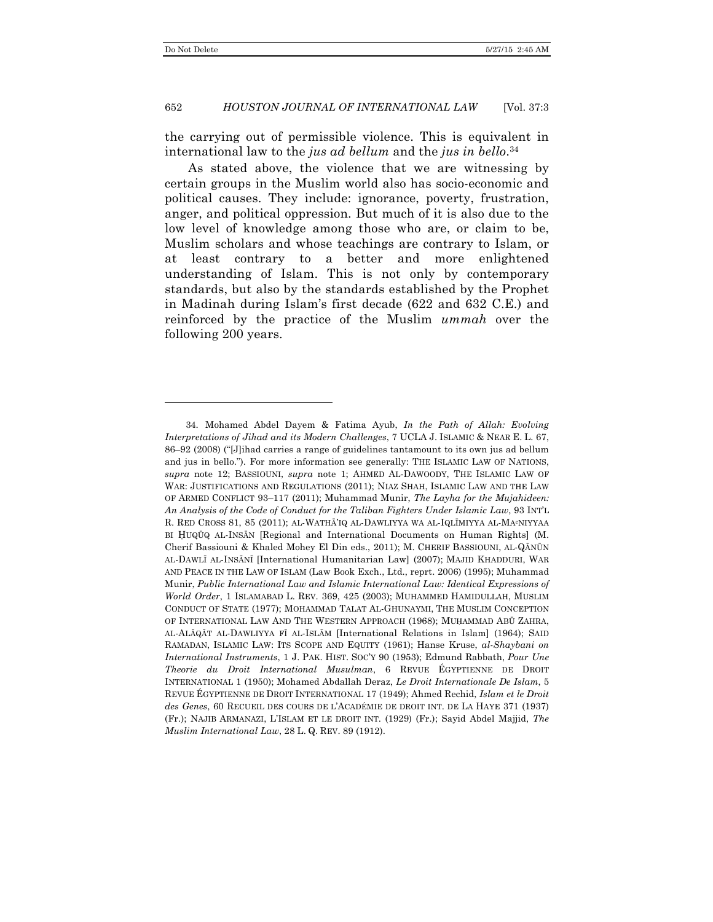# 652 *HOUSTON JOURNAL OF INTERNATIONAL LAW* [Vol. 37:3

the carrying out of permissible violence. This is equivalent in international law to the *jus ad bellum* and the *jus in bello*. 34

As stated above, the violence that we are witnessing by certain groups in the Muslim world also has socio-economic and political causes. They include: ignorance, poverty, frustration, anger, and political oppression. But much of it is also due to the low level of knowledge among those who are, or claim to be, Muslim scholars and whose teachings are contrary to Islam, or at least contrary to a better and more enlightened understanding of Islam. This is not only by contemporary standards, but also by the standards established by the Prophet in Madinah during Islam's first decade (622 and 632 C.E.) and reinforced by the practice of the Muslim *ummah* over the following 200 years.

<sup>34.</sup> Mohamed Abdel Dayem & Fatima Ayub, *In the Path of Allah: Evolving Interpretations of Jihad and its Modern Challenges*, 7 UCLA J. ISLAMIC & NEAR E. L. 67, 86–92 (2008) ("[J]ihad carries a range of guidelines tantamount to its own jus ad bellum and jus in bello."). For more information see generally: THE ISLAMIC LAW OF NATIONS, *supra* note 12; BASSIOUNI, *supra* note 1; AHMED AL-DAWOODY, THE ISLAMIC LAW OF WAR: JUSTIFICATIONS AND REGULATIONS (2011); NIAZ SHAH, ISLAMIC LAW AND THE LAW OF ARMED CONFLICT 93–117 (2011); Muhammad Munir, *The Layha for the Mujahideen: An Analysis of the Code of Conduct for the Taliban Fighters Under Islamic Law*, 93 INT'L R. RED CROSS 81, 85 (2011); AL-WATHĀ'IQ AL-DAWLIYYA WA AL-IQLĪMIYYA AL-MAcNIYYAA BI ḤUQŪQ AL-INSĀN [Regional and International Documents on Human Rights] (M. Cherif Bassiouni & Khaled Mohey El Din eds., 2011); M. CHERIF BASSIOUNI, AL-QĀNŪN AL-DAWLĪ AL-INSĀNĪ [International Humanitarian Law] (2007); MAJID KHADDURI, WAR AND PEACE IN THE LAW OF ISLAM (Law Book Exch., Ltd., reprt. 2006) (1995); Muhammad Munir, *Public International Law and Islamic International Law: Identical Expressions of World Order*, 1 ISLAMABAD L. REV. 369, 425 (2003); MUHAMMED HAMIDULLAH, MUSLIM CONDUCT OF STATE (1977); MOHAMMAD TALAT AL-GHUNAYMI, THE MUSLIM CONCEPTION OF INTERNATIONAL LAW AND THE WESTERN APPROACH (1968); MUḤAMMAD ABŪ ZAHRA, AL-ALĀQĀT AL-DAWLIYYA FĪ AL-ISLĀM [International Relations in Islam] (1964); SAID RAMADAN, ISLAMIC LAW: ITS SCOPE AND EQUITY (1961); Hanse Kruse, *al-Shaybani on International Instruments*, 1 J. PAK. HIST. SOC'Y 90 (1953); Edmund Rabbath, *Pour Une Theorie du Droit International Musulman*, 6 REVUE ÉGYPTIENNE DE DROIT INTERNATIONAL 1 (1950); Mohamed Abdallah Deraz, *Le Droit Internationale De Islam*, 5 REVUE ÉGYPTIENNE DE DROIT INTERNATIONAL 17 (1949); Ahmed Rechid, *Islam et le Droit des Genes*, 60 RECUEIL DES COURS DE L'ACADÉMIE DE DROIT INT. DE LA HAYE 371 (1937) (Fr.); NAJIB ARMANAZI, L'ISLAM ET LE DROIT INT. (1929) (Fr.); Sayid Abdel Majjid, *The Muslim International Law*, 28 L. Q. REV. 89 (1912).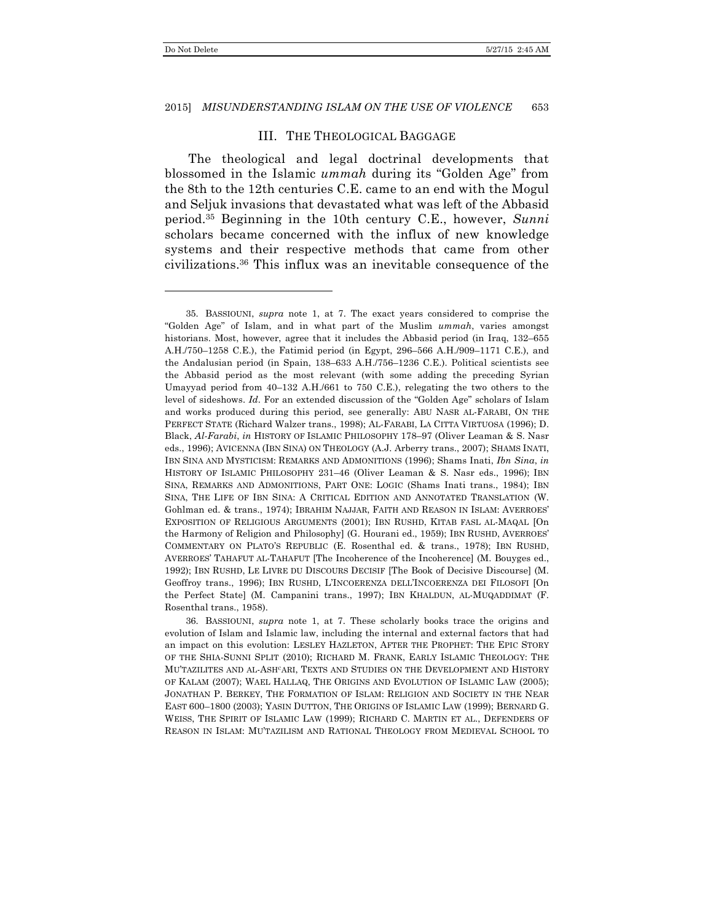#### 2015] *MISUNDERSTANDING ISLAM ON THE USE OF VIOLENCE* 653

# III. THE THEOLOGICAL BAGGAGE

The theological and legal doctrinal developments that blossomed in the Islamic *ummah* during its "Golden Age" from the 8th to the 12th centuries C.E. came to an end with the Mogul and Seljuk invasions that devastated what was left of the Abbasid period.35 Beginning in the 10th century C.E., however, *Sunni* scholars became concerned with the influx of new knowledge systems and their respective methods that came from other civilizations.36 This influx was an inevitable consequence of the

36. BASSIOUNI, *supra* note 1, at 7. These scholarly books trace the origins and evolution of Islam and Islamic law, including the internal and external factors that had an impact on this evolution: LESLEY HAZLETON, AFTER THE PROPHET: THE EPIC STORY OF THE SHIA-SUNNI SPLIT (2010); RICHARD M. FRANK, EARLY ISLAMIC THEOLOGY: THE MU'TAZILITES AND AL-ASH<sup>C</sup>ARI, TEXTS AND STUDIES ON THE DEVELOPMENT AND HISTORY OF KALAM (2007); WAEL HALLAQ, THE ORIGINS AND EVOLUTION OF ISLAMIC LAW (2005); JONATHAN P. BERKEY, THE FORMATION OF ISLAM: RELIGION AND SOCIETY IN THE NEAR EAST 600–1800 (2003); YASIN DUTTON, THE ORIGINS OF ISLAMIC LAW (1999); BERNARD G. WEISS, THE SPIRIT OF ISLAMIC LAW (1999); RICHARD C. MARTIN ET AL., DEFENDERS OF REASON IN ISLAM: MU'TAZILISM AND RATIONAL THEOLOGY FROM MEDIEVAL SCHOOL TO

<sup>35.</sup> BASSIOUNI, *supra* note 1, at 7. The exact years considered to comprise the "Golden Age" of Islam, and in what part of the Muslim *ummah*, varies amongst historians. Most, however, agree that it includes the Abbasid period (in Iraq, 132–655 A.H./750–1258 C.E.), the Fatimid period (in Egypt, 296–566 A.H./909–1171 C.E.), and the Andalusian period (in Spain, 138–633 A.H./756–1236 C.E.). Political scientists see the Abbasid period as the most relevant (with some adding the preceding Syrian Umayyad period from 40–132 A.H./661 to 750 C.E.), relegating the two others to the level of sideshows. *Id*. For an extended discussion of the "Golden Age" scholars of Islam and works produced during this period, see generally: ABU NASR AL-FARABI, ON THE PERFECT STATE (Richard Walzer trans., 1998); AL-FARABI, LA CITTA VIRTUOSA (1996); D. Black, *Al-Farabi*, *in* HISTORY OF ISLAMIC PHILOSOPHY 178–97 (Oliver Leaman & S. Nasr eds., 1996); AVICENNA (IBN SINA) ON THEOLOGY (A.J. Arberry trans., 2007); SHAMS INATI, IBN SINA AND MYSTICISM: REMARKS AND ADMONITIONS (1996); Shams Inati, *Ibn Sina*, *in*  HISTORY OF ISLAMIC PHILOSOPHY 231–46 (Oliver Leaman & S. Nasr eds., 1996); IBN SINA, REMARKS AND ADMONITIONS, PART ONE: LOGIC (Shams Inati trans., 1984); IBN SINA, THE LIFE OF IBN SINA: A CRITICAL EDITION AND ANNOTATED TRANSLATION (W. Gohlman ed. & trans., 1974); IBRAHIM NAJJAR, FAITH AND REASON IN ISLAM: AVERROES' EXPOSITION OF RELIGIOUS ARGUMENTS (2001); IBN RUSHD, KITAB FASL AL-MAQAL [On the Harmony of Religion and Philosophy] (G. Hourani ed., 1959); IBN RUSHD, AVERROES' COMMENTARY ON PLATO'S REPUBLIC (E. Rosenthal ed. & trans., 1978); IBN RUSHD, AVERROES' TAHAFUT AL-TAHAFUT [The Incoherence of the Incoherence] (M. Bouyges ed., 1992); IBN RUSHD, LE LIVRE DU DISCOURS DECISIF [The Book of Decisive Discourse] (M. Geoffroy trans., 1996); IBN RUSHD, L'INCOERENZA DELL'INCOERENZA DEI FILOSOFI [On the Perfect State] (M. Campanini trans., 1997); IBN KHALDUN, AL-MUQADDIMAT (F. Rosenthal trans., 1958).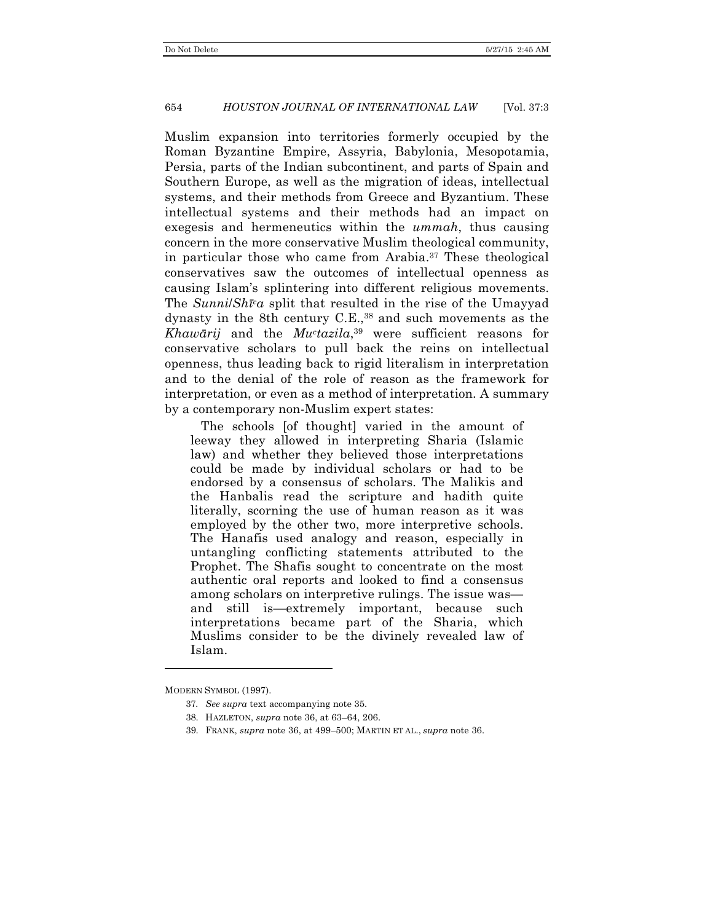# 654 *HOUSTON JOURNAL OF INTERNATIONAL LAW* [Vol. 37:3

Muslim expansion into territories formerly occupied by the Roman Byzantine Empire, Assyria, Babylonia, Mesopotamia, Persia, parts of the Indian subcontinent, and parts of Spain and Southern Europe, as well as the migration of ideas, intellectual systems, and their methods from Greece and Byzantium. These intellectual systems and their methods had an impact on exegesis and hermeneutics within the *ummah*, thus causing concern in the more conservative Muslim theological community, in particular those who came from Arabia.37 These theological conservatives saw the outcomes of intellectual openness as causing Islam's splintering into different religious movements. The *Sunni*/*Shīca* split that resulted in the rise of the Umayyad dynasty in the 8th century C.E.,<sup>38</sup> and such movements as the *Khawārij* and the *Muctazila*, <sup>39</sup> were sufficient reasons for conservative scholars to pull back the reins on intellectual openness, thus leading back to rigid literalism in interpretation and to the denial of the role of reason as the framework for interpretation, or even as a method of interpretation. A summary by a contemporary non-Muslim expert states:

The schools [of thought] varied in the amount of leeway they allowed in interpreting Sharia (Islamic law) and whether they believed those interpretations could be made by individual scholars or had to be endorsed by a consensus of scholars. The Malikis and the Hanbalis read the scripture and hadith quite literally, scorning the use of human reason as it was employed by the other two, more interpretive schools. The Hanafis used analogy and reason, especially in untangling conflicting statements attributed to the Prophet. The Shafis sought to concentrate on the most authentic oral reports and looked to find a consensus among scholars on interpretive rulings. The issue was and still is—extremely important, because such interpretations became part of the Sharia, which Muslims consider to be the divinely revealed law of Islam.

1

MODERN SYMBOL (1997).

<sup>37</sup>*. See supra* text accompanying note 35.

<sup>38.</sup> HAZLETON, *supra* note 36, at 63–64, 206.

<sup>39.</sup> FRANK, *supra* note 36, at 499–500; MARTIN ET AL., *supra* note 36.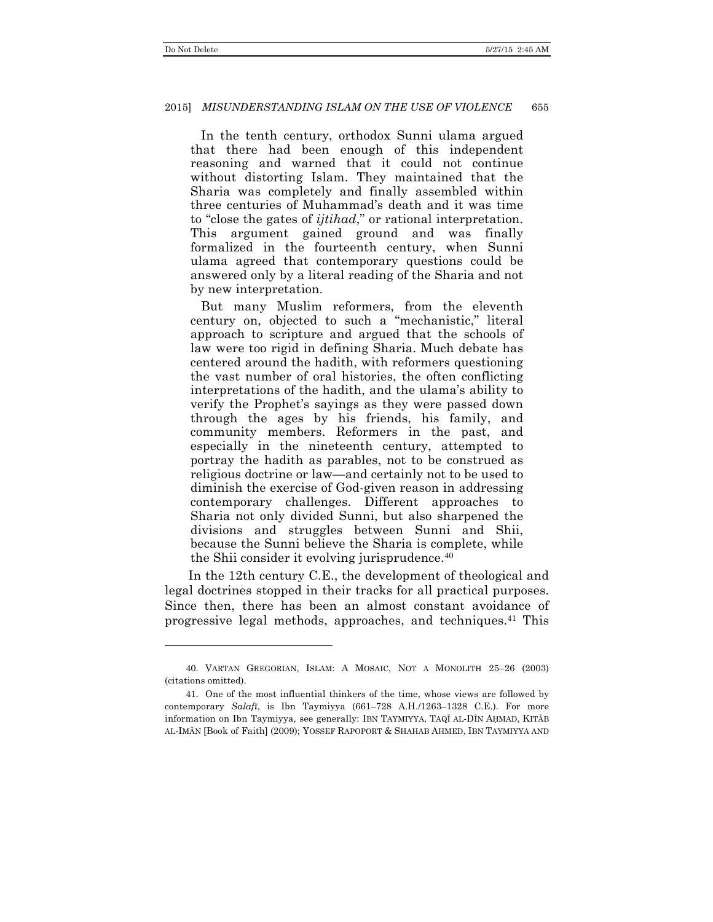#### 2015] *MISUNDERSTANDING ISLAM ON THE USE OF VIOLENCE* 655

In the tenth century, orthodox Sunni ulama argued that there had been enough of this independent reasoning and warned that it could not continue without distorting Islam. They maintained that the Sharia was completely and finally assembled within three centuries of Muhammad's death and it was time to "close the gates of *ijtihad*," or rational interpretation. This argument gained ground and was finally formalized in the fourteenth century, when Sunni ulama agreed that contemporary questions could be answered only by a literal reading of the Sharia and not by new interpretation.

But many Muslim reformers, from the eleventh century on, objected to such a "mechanistic," literal approach to scripture and argued that the schools of law were too rigid in defining Sharia. Much debate has centered around the hadith, with reformers questioning the vast number of oral histories, the often conflicting interpretations of the hadith, and the ulama's ability to verify the Prophet's sayings as they were passed down through the ages by his friends, his family, and community members. Reformers in the past, and especially in the nineteenth century, attempted to portray the hadith as parables, not to be construed as religious doctrine or law—and certainly not to be used to diminish the exercise of God-given reason in addressing contemporary challenges. Different approaches to Sharia not only divided Sunni, but also sharpened the divisions and struggles between Sunni and Shii, because the Sunni believe the Sharia is complete, while the Shii consider it evolving jurisprudence.40

In the 12th century C.E., the development of theological and legal doctrines stopped in their tracks for all practical purposes. Since then, there has been an almost constant avoidance of progressive legal methods, approaches, and techniques.41 This

<sup>40.</sup> VARTAN GREGORIAN, ISLAM: A MOSAIC, NOT A MONOLITH 25–26 (2003) (citations omitted).

<sup>41.</sup> One of the most influential thinkers of the time, whose views are followed by contemporary *Salafī*, is Ibn Taymiyya (661–728 A.H./1263–1328 C.E.). For more information on Ibn Taymiyya, see generally: IBN TAYMIYYA, TAQĪ AL-DĪN AḤMAD, KITĀB AL-IMĀN [Book of Faith] (2009); YOSSEF RAPOPORT & SHAHAB AHMED, IBN TAYMIYYA AND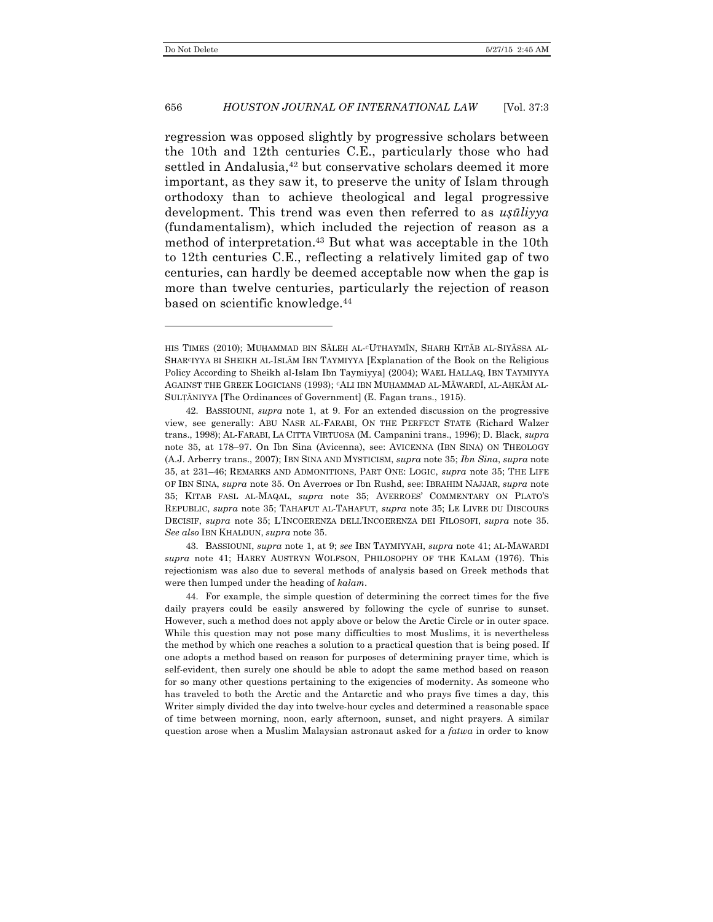#### 656 *HOUSTON JOURNAL OF INTERNATIONAL LAW* [Vol. 37:3

regression was opposed slightly by progressive scholars between the 10th and 12th centuries C.E., particularly those who had settled in Andalusia,<sup>42</sup> but conservative scholars deemed it more important, as they saw it, to preserve the unity of Islam through orthodoxy than to achieve theological and legal progressive development. This trend was even then referred to as *uṣūliyya* (fundamentalism), which included the rejection of reason as a method of interpretation.43 But what was acceptable in the 10th to 12th centuries C.E., reflecting a relatively limited gap of two centuries, can hardly be deemed acceptable now when the gap is more than twelve centuries, particularly the rejection of reason based on scientific knowledge.44

HIS TIMES (2010); MUḤAMMAD BIN SĀLEḤ AL-CUTHAYMĪN, SHARḤ KITĀB AL-SIYĀSSA AL-SHARCIYYA BI SHEIKH AL-ISLĀM IBN TAYMIYYA [Explanation of the Book on the Religious Policy According to Sheikh al-Islam Ibn Taymiyya] (2004); WAEL HALLAQ, IBN TAYMIYYA AGAINST THE GREEK LOGICIANS (1993); CALI IBN MUḤAMMAD AL-MĀWARDĪ, AL-AḤKĀM AL-SULṬĀNIYYA [The Ordinances of Government] (E. Fagan trans., 1915).

<sup>42.</sup> BASSIOUNI, *supra* note 1, at 9. For an extended discussion on the progressive view, see generally: ABU NASR AL-FARABI, ON THE PERFECT STATE (Richard Walzer trans., 1998); AL-FARABI, LA CITTA VIRTUOSA (M. Campanini trans., 1996); D. Black, *supra* note 35, at 178–97. On Ibn Sina (Avicenna), see: AVICENNA (IBN SINA) ON THEOLOGY (A.J. Arberry trans., 2007); IBN SINA AND MYSTICISM, *supra* note 35; *Ibn Sina*, *supra* note 35, at 231–46; REMARKS AND ADMONITIONS, PART ONE: LOGIC, *supra* note 35; THE LIFE OF IBN SINA, *supra* note 35. On Averroes or Ibn Rushd, see: IBRAHIM NAJJAR, *supra* note 35; KITAB FASL AL-MAQAL, *supra* note 35; AVERROES' COMMENTARY ON PLATO'S REPUBLIC, *supra* note 35; TAHAFUT AL-TAHAFUT, *supra* note 35; LE LIVRE DU DISCOURS DECISIF, *supra* note 35; L'INCOERENZA DELL'INCOERENZA DEI FILOSOFI, *supra* note 35. *See also* IBN KHALDUN, *supra* note 35.

<sup>43.</sup> BASSIOUNI, *supra* note 1, at 9; *see* IBN TAYMIYYAH, *supra* note 41; AL-MAWARDI *supra* note 41; HARRY AUSTRYN WOLFSON, PHILOSOPHY OF THE KALAM (1976). This rejectionism was also due to several methods of analysis based on Greek methods that were then lumped under the heading of *kalam*.

<sup>44.</sup> For example, the simple question of determining the correct times for the five daily prayers could be easily answered by following the cycle of sunrise to sunset. However, such a method does not apply above or below the Arctic Circle or in outer space. While this question may not pose many difficulties to most Muslims, it is nevertheless the method by which one reaches a solution to a practical question that is being posed. If one adopts a method based on reason for purposes of determining prayer time, which is self-evident, then surely one should be able to adopt the same method based on reason for so many other questions pertaining to the exigencies of modernity. As someone who has traveled to both the Arctic and the Antarctic and who prays five times a day, this Writer simply divided the day into twelve-hour cycles and determined a reasonable space of time between morning, noon, early afternoon, sunset, and night prayers. A similar question arose when a Muslim Malaysian astronaut asked for a *fatwa* in order to know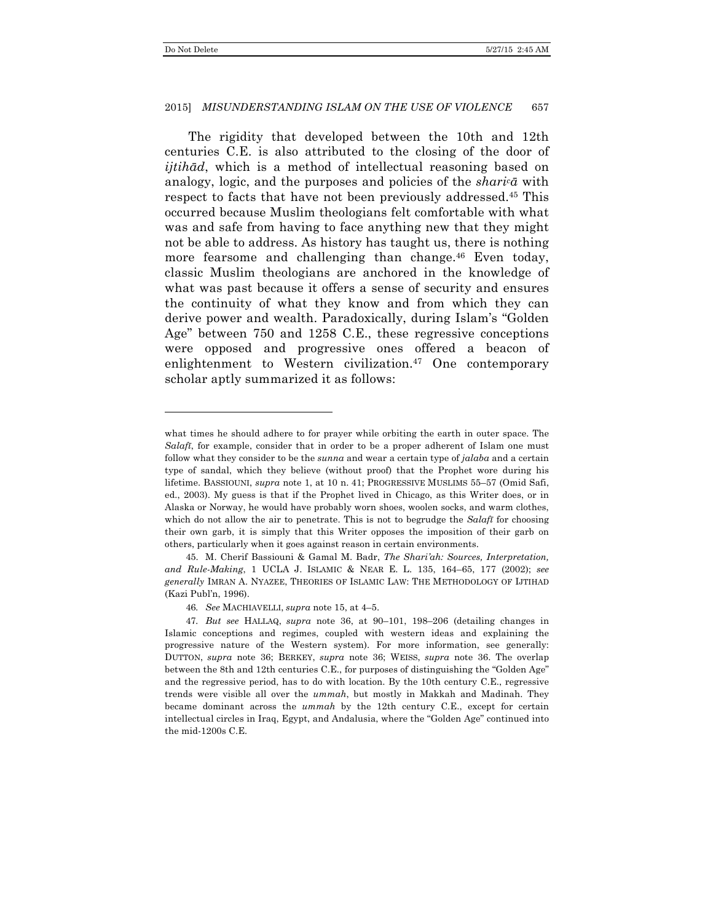#### 2015] *MISUNDERSTANDING ISLAM ON THE USE OF VIOLENCE* 657

The rigidity that developed between the 10th and 12th centuries C.E. is also attributed to the closing of the door of *ijtihād*, which is a method of intellectual reasoning based on analogy, logic, and the purposes and policies of the *sharicā* with respect to facts that have not been previously addressed.45 This occurred because Muslim theologians felt comfortable with what was and safe from having to face anything new that they might not be able to address. As history has taught us, there is nothing more fearsome and challenging than change.<sup>46</sup> Even today, classic Muslim theologians are anchored in the knowledge of what was past because it offers a sense of security and ensures the continuity of what they know and from which they can derive power and wealth. Paradoxically, during Islam's "Golden Age" between 750 and 1258 C.E., these regressive conceptions were opposed and progressive ones offered a beacon of enlightenment to Western civilization.<sup>47</sup> One contemporary scholar aptly summarized it as follows:

what times he should adhere to for prayer while orbiting the earth in outer space. The *Salafī*, for example, consider that in order to be a proper adherent of Islam one must follow what they consider to be the *sunna* and wear a certain type of *jalaba* and a certain type of sandal, which they believe (without proof) that the Prophet wore during his lifetime. BASSIOUNI, *supra* note 1, at 10 n. 41; PROGRESSIVE MUSLIMS 55–57 (Omid Safi, ed., 2003). My guess is that if the Prophet lived in Chicago, as this Writer does, or in Alaska or Norway, he would have probably worn shoes, woolen socks, and warm clothes, which do not allow the air to penetrate. This is not to begrudge the *Salafī* for choosing their own garb, it is simply that this Writer opposes the imposition of their garb on others, particularly when it goes against reason in certain environments.

<sup>45.</sup> M. Cherif Bassiouni & Gamal M. Badr, *The Shari'ah: Sources, Interpretation, and Rule-Making*, 1 UCLA J. ISLAMIC & NEAR E. L. 135, 164–65, 177 (2002); *see generally* IMRAN A. NYAZEE, THEORIES OF ISLAMIC LAW: THE METHODOLOGY OF IJTIHAD (Kazi Publ'n, 1996).

<sup>46</sup>*. See* MACHIAVELLI, *supra* note 15, at 4–5.

<sup>47</sup>*. But see* HALLAQ, *supra* note 36, at 90–101, 198–206 (detailing changes in Islamic conceptions and regimes, coupled with western ideas and explaining the progressive nature of the Western system). For more information, see generally: DUTTON, *supra* note 36; BERKEY, *supra* note 36; WEISS, *supra* note 36. The overlap between the 8th and 12th centuries C.E., for purposes of distinguishing the "Golden Age" and the regressive period, has to do with location. By the 10th century C.E., regressive trends were visible all over the *ummah*, but mostly in Makkah and Madinah. They became dominant across the *ummah* by the 12th century C.E., except for certain intellectual circles in Iraq, Egypt, and Andalusia, where the "Golden Age" continued into the mid-1200s C.E.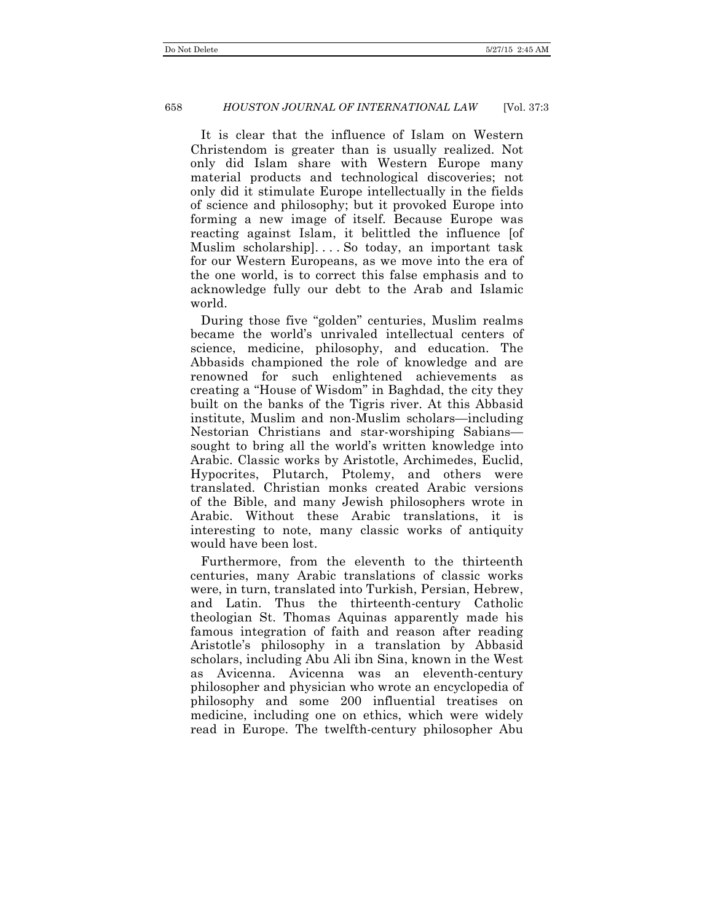# 658 *HOUSTON JOURNAL OF INTERNATIONAL LAW* [Vol. 37:3

It is clear that the influence of Islam on Western Christendom is greater than is usually realized. Not only did Islam share with Western Europe many material products and technological discoveries; not only did it stimulate Europe intellectually in the fields of science and philosophy; but it provoked Europe into forming a new image of itself. Because Europe was reacting against Islam, it belittled the influence [of Muslim scholarship]. . . . So today, an important task for our Western Europeans, as we move into the era of the one world, is to correct this false emphasis and to acknowledge fully our debt to the Arab and Islamic world.

During those five "golden" centuries, Muslim realms became the world's unrivaled intellectual centers of science, medicine, philosophy, and education. The Abbasids championed the role of knowledge and are renowned for such enlightened achievements as creating a "House of Wisdom" in Baghdad, the city they built on the banks of the Tigris river. At this Abbasid institute, Muslim and non-Muslim scholars—including Nestorian Christians and star-worshiping Sabians sought to bring all the world's written knowledge into Arabic. Classic works by Aristotle, Archimedes, Euclid, Hypocrites, Plutarch, Ptolemy, and others were translated. Christian monks created Arabic versions of the Bible, and many Jewish philosophers wrote in Arabic. Without these Arabic translations, it is interesting to note, many classic works of antiquity would have been lost.

Furthermore, from the eleventh to the thirteenth centuries, many Arabic translations of classic works were, in turn, translated into Turkish, Persian, Hebrew, and Latin. Thus the thirteenth-century Catholic theologian St. Thomas Aquinas apparently made his famous integration of faith and reason after reading Aristotle's philosophy in a translation by Abbasid scholars, including Abu Ali ibn Sina, known in the West as Avicenna. Avicenna was an eleventh-century philosopher and physician who wrote an encyclopedia of philosophy and some 200 influential treatises on medicine, including one on ethics, which were widely read in Europe. The twelfth-century philosopher Abu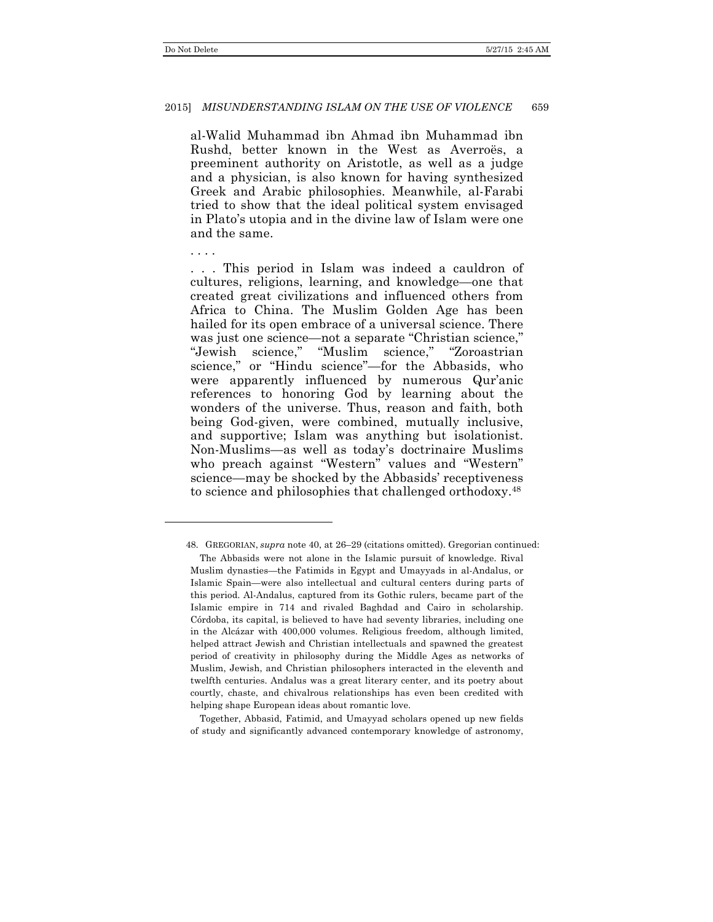. . . .

1

#### 2015] *MISUNDERSTANDING ISLAM ON THE USE OF VIOLENCE* 659

al-Walid Muhammad ibn Ahmad ibn Muhammad ibn Rushd, better known in the West as Averroës, a preeminent authority on Aristotle, as well as a judge and a physician, is also known for having synthesized Greek and Arabic philosophies. Meanwhile, al-Farabi tried to show that the ideal political system envisaged in Plato's utopia and in the divine law of Islam were one and the same.

. . . This period in Islam was indeed a cauldron of cultures, religions, learning, and knowledge—one that created great civilizations and influenced others from Africa to China. The Muslim Golden Age has been hailed for its open embrace of a universal science. There was just one science—not a separate "Christian science," "Jewish science," "Muslim science," "Zoroastrian science," or "Hindu science"—for the Abbasids, who were apparently influenced by numerous Qur'anic references to honoring God by learning about the wonders of the universe. Thus, reason and faith, both being God-given, were combined, mutually inclusive, and supportive; Islam was anything but isolationist. Non-Muslims—as well as today's doctrinaire Muslims who preach against "Western" values and "Western" science—may be shocked by the Abbasids' receptiveness to science and philosophies that challenged orthodoxy.48

<sup>48.</sup> GREGORIAN, *supra* note 40, at 26–29 (citations omitted). Gregorian continued: The Abbasids were not alone in the Islamic pursuit of knowledge. Rival

Muslim dynasties—the Fatimids in Egypt and Umayyads in al-Andalus, or Islamic Spain—were also intellectual and cultural centers during parts of this period. Al-Andalus, captured from its Gothic rulers, became part of the Islamic empire in 714 and rivaled Baghdad and Cairo in scholarship. Córdoba, its capital, is believed to have had seventy libraries, including one in the Alcázar with 400,000 volumes. Religious freedom, although limited, helped attract Jewish and Christian intellectuals and spawned the greatest period of creativity in philosophy during the Middle Ages as networks of Muslim, Jewish, and Christian philosophers interacted in the eleventh and twelfth centuries. Andalus was a great literary center, and its poetry about courtly, chaste, and chivalrous relationships has even been credited with helping shape European ideas about romantic love.

Together, Abbasid, Fatimid, and Umayyad scholars opened up new fields of study and significantly advanced contemporary knowledge of astronomy,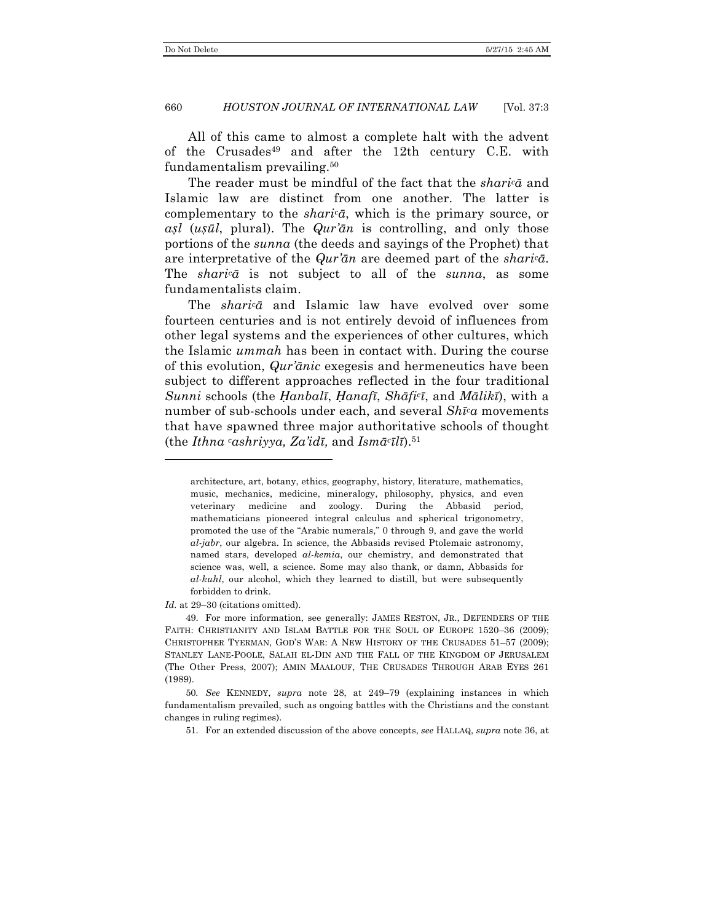# 660 *HOUSTON JOURNAL OF INTERNATIONAL LAW* [Vol. 37:3

All of this came to almost a complete halt with the advent of the Crusades<sup>49</sup> and after the 12th century C.E. with fundamentalism prevailing.50

The reader must be mindful of the fact that the *sharicā* and Islamic law are distinct from one another. The latter is complementary to the *sharicā*, which is the primary source, or *aṣl* (*uṣūl*, plural). The *Qur'ān* is controlling, and only those portions of the *sunna* (the deeds and sayings of the Prophet) that are interpretative of the *Qur'ān* are deemed part of the *sharicā*. The *sharicā* is not subject to all of the *sunna*, as some fundamentalists claim.

The *sharicā* and Islamic law have evolved over some fourteen centuries and is not entirely devoid of influences from other legal systems and the experiences of other cultures, which the Islamic *ummah* has been in contact with. During the course of this evolution, *Qur'ānic* exegesis and hermeneutics have been subject to different approaches reflected in the four traditional *Sunni* schools (the *Ḥanbalī*, *Ḥanafī*, *Shāficī*, and *Mālikī*), with a number of sub-schools under each, and several *Shīca* movements that have spawned three major authoritative schools of thought (the *Ithna cashriyya, Za'idī,* and *Ismācīlī*).51

*Id.* at 29–30 (citations omitted).

1

49. For more information, see generally: JAMES RESTON, JR., DEFENDERS OF THE FAITH: CHRISTIANITY AND ISLAM BATTLE FOR THE SOUL OF EUROPE 1520-36 (2009); CHRISTOPHER TYERMAN, GOD'S WAR: A NEW HISTORY OF THE CRUSADES 51–57 (2009); STANLEY LANE-POOLE, SALAH EL-DIN AND THE FALL OF THE KINGDOM OF JERUSALEM (The Other Press, 2007); AMIN MAALOUF, THE CRUSADES THROUGH ARAB EYES 261 (1989).

51. For an extended discussion of the above concepts, *see* HALLAQ, *supra* note 36, at

architecture, art, botany, ethics, geography, history, literature, mathematics, music, mechanics, medicine, mineralogy, philosophy, physics, and even veterinary medicine and zoology. During the Abbasid period, mathematicians pioneered integral calculus and spherical trigonometry, promoted the use of the "Arabic numerals," 0 through 9, and gave the world *al-jabr*, our algebra. In science, the Abbasids revised Ptolemaic astronomy, named stars, developed *al-kemia*, our chemistry, and demonstrated that science was, well, a science. Some may also thank, or damn, Abbasids for *al-kuhl*, our alcohol, which they learned to distill, but were subsequently forbidden to drink.

<sup>50</sup>*. See* KENNEDY, *supra* note 28, at 249–79 (explaining instances in which fundamentalism prevailed, such as ongoing battles with the Christians and the constant changes in ruling regimes).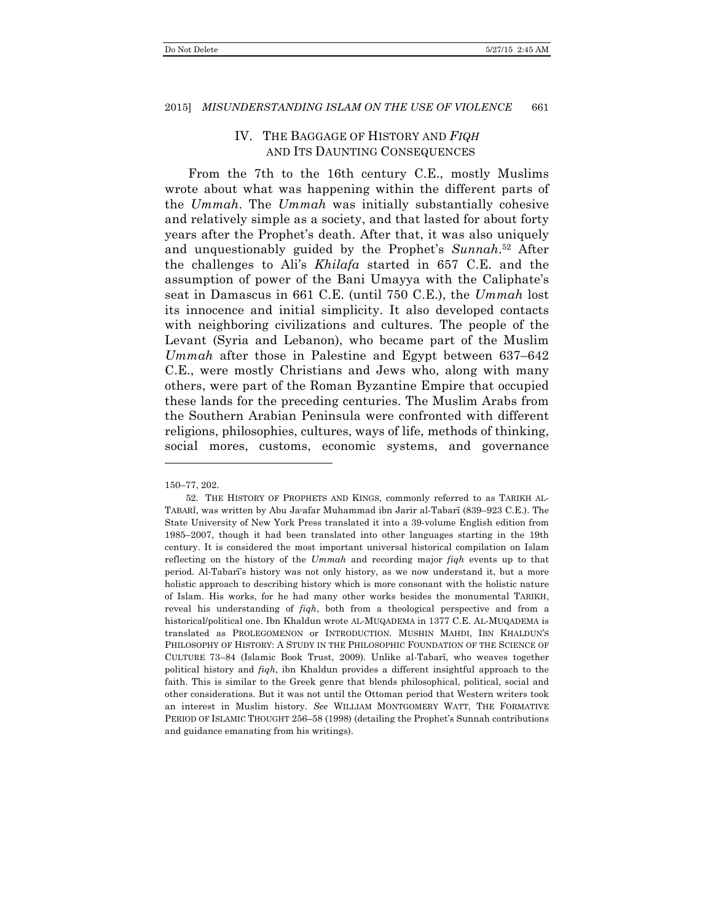#### 2015] *MISUNDERSTANDING ISLAM ON THE USE OF VIOLENCE* 661

# IV. THE BAGGAGE OF HISTORY AND *FIQH* AND ITS DAUNTING CONSEQUENCES

From the 7th to the 16th century C.E., mostly Muslims wrote about what was happening within the different parts of the *Ummah*. The *Ummah* was initially substantially cohesive and relatively simple as a society, and that lasted for about forty years after the Prophet's death. After that, it was also uniquely and unquestionably guided by the Prophet's *Sunnah*. <sup>52</sup> After the challenges to Ali's *Khilafa* started in 657 C.E. and the assumption of power of the Bani Umayya with the Caliphate's seat in Damascus in 661 C.E. (until 750 C.E.), the *Ummah* lost its innocence and initial simplicity. It also developed contacts with neighboring civilizations and cultures. The people of the Levant (Syria and Lebanon), who became part of the Muslim *Ummah* after those in Palestine and Egypt between 637–642 C.E., were mostly Christians and Jews who, along with many others, were part of the Roman Byzantine Empire that occupied these lands for the preceding centuries. The Muslim Arabs from the Southern Arabian Peninsula were confronted with different religions, philosophies, cultures, ways of life, methods of thinking, social mores, customs, economic systems, and governance

<u>.</u>

<sup>150–77, 202.</sup>

<sup>52.</sup> THE HISTORY OF PROPHETS AND KINGS, commonly referred to as TARIKH AL-TABARĪ, was written by Abu Jacafar Muhammad ibn Jarir al-Tabarī (839–923 C.E.). The State University of New York Press translated it into a 39-volume English edition from 1985–2007, though it had been translated into other languages starting in the 19th century. It is considered the most important universal historical compilation on Islam reflecting on the history of the *Ummah* and recording major *fiqh* events up to that period. Al-Tabarī's history was not only history, as we now understand it, but a more holistic approach to describing history which is more consonant with the holistic nature of Islam. His works, for he had many other works besides the monumental TARIKH, reveal his understanding of *fiqh*, both from a theological perspective and from a historical/political one. Ibn Khaldun wrote AL-MUQADEMA in 1377 C.E. AL-MUQADEMA is translated as PROLEGOMENON or INTRODUCTION. MUSHIN MAHDI, IBN KHALDUN'S PHILOSOPHY OF HISTORY: A STUDY IN THE PHILOSOPHIC FOUNDATION OF THE SCIENCE OF CULTURE 73–84 (Islamic Book Trust, 2009). Unlike al-Tabarī, who weaves together political history and *fiqh*, ibn Khaldun provides a different insightful approach to the faith. This is similar to the Greek genre that blends philosophical, political, social and other considerations. But it was not until the Ottoman period that Western writers took an interest in Muslim history. *See* WILLIAM MONTGOMERY WATT, THE FORMATIVE PERIOD OF ISLAMIC THOUGHT 256–58 (1998) (detailing the Prophet's Sunnah contributions and guidance emanating from his writings).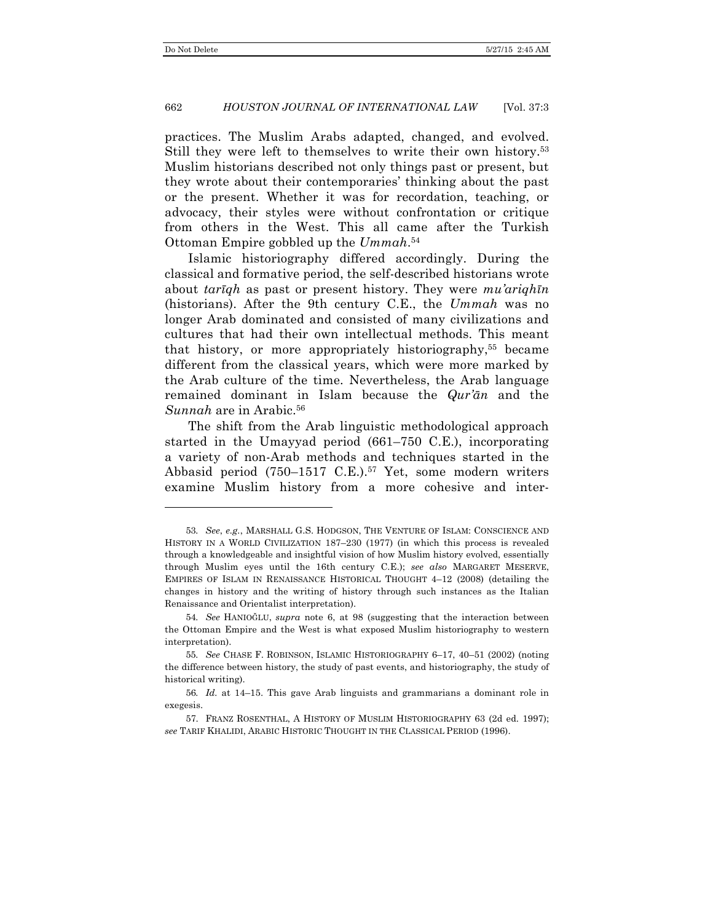#### 662 *HOUSTON JOURNAL OF INTERNATIONAL LAW* [Vol. 37:3

practices. The Muslim Arabs adapted, changed, and evolved. Still they were left to themselves to write their own history.53 Muslim historians described not only things past or present, but they wrote about their contemporaries' thinking about the past or the present. Whether it was for recordation, teaching, or advocacy, their styles were without confrontation or critique from others in the West. This all came after the Turkish Ottoman Empire gobbled up the *Ummah*. 54

Islamic historiography differed accordingly. During the classical and formative period, the self-described historians wrote about *tarīqh* as past or present history. They were *mu'ariqhīn* (historians). After the 9th century C.E., the *Ummah* was no longer Arab dominated and consisted of many civilizations and cultures that had their own intellectual methods. This meant that history, or more appropriately historiography,55 became different from the classical years, which were more marked by the Arab culture of the time. Nevertheless, the Arab language remained dominant in Islam because the *Qur'ān* and the *Sunnah* are in Arabic.56

The shift from the Arab linguistic methodological approach started in the Umayyad period (661–750 C.E.), incorporating a variety of non-Arab methods and techniques started in the Abbasid period (750–1517 C.E.).<sup>57</sup> Yet, some modern writers examine Muslim history from a more cohesive and inter-

<sup>53</sup>*. See*, *e.g.*, MARSHALL G.S. HODGSON, THE VENTURE OF ISLAM: CONSCIENCE AND HISTORY IN A WORLD CIVILIZATION 187–230 (1977) (in which this process is revealed through a knowledgeable and insightful vision of how Muslim history evolved, essentially through Muslim eyes until the 16th century C.E.); *see also* MARGARET MESERVE, EMPIRES OF ISLAM IN RENAISSANCE HISTORICAL THOUGHT 4–12 (2008) (detailing the changes in history and the writing of history through such instances as the Italian Renaissance and Orientalist interpretation).

<sup>54</sup>*. See* HANIOĞLU, *supra* note 6, at 98 (suggesting that the interaction between the Ottoman Empire and the West is what exposed Muslim historiography to western interpretation).

<sup>55</sup>*. See* CHASE F. ROBINSON, ISLAMIC HISTORIOGRAPHY 6–17, 40–51 (2002) (noting the difference between history, the study of past events, and historiography, the study of historical writing).

<sup>56</sup>*. Id.* at 14–15. This gave Arab linguists and grammarians a dominant role in exegesis.

<sup>57.</sup> FRANZ ROSENTHAL, A HISTORY OF MUSLIM HISTORIOGRAPHY 63 (2d ed. 1997); *see* TARIF KHALIDI, ARABIC HISTORIC THOUGHT IN THE CLASSICAL PERIOD (1996).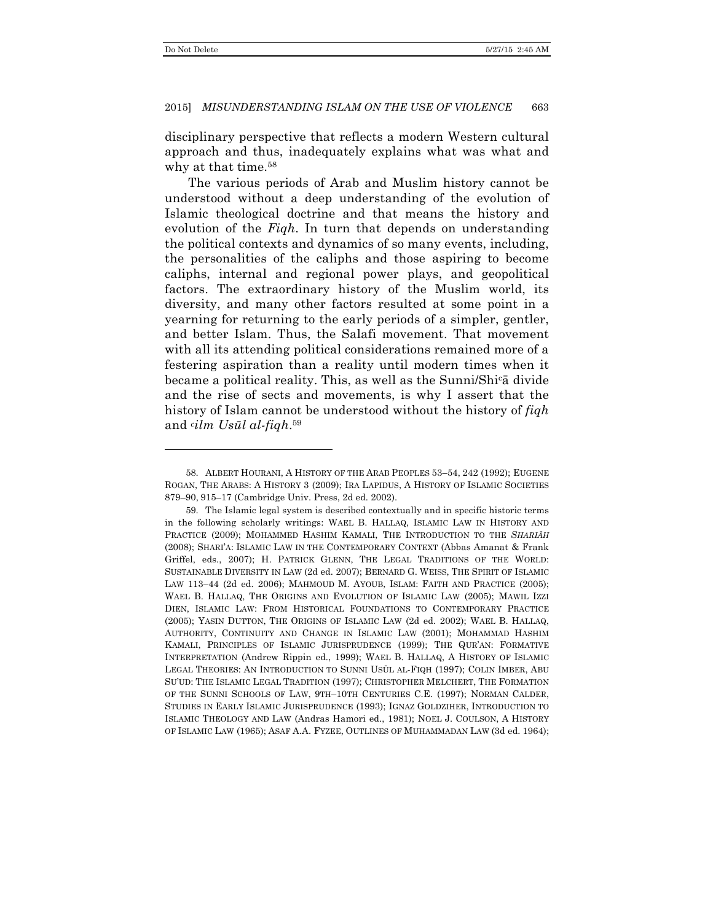## 2015] *MISUNDERSTANDING ISLAM ON THE USE OF VIOLENCE* 663

disciplinary perspective that reflects a modern Western cultural approach and thus, inadequately explains what was what and why at that time.<sup>58</sup>

The various periods of Arab and Muslim history cannot be understood without a deep understanding of the evolution of Islamic theological doctrine and that means the history and evolution of the *Fiqh*. In turn that depends on understanding the political contexts and dynamics of so many events, including, the personalities of the caliphs and those aspiring to become caliphs, internal and regional power plays, and geopolitical factors. The extraordinary history of the Muslim world, its diversity, and many other factors resulted at some point in a yearning for returning to the early periods of a simpler, gentler, and better Islam. Thus, the Salafi movement. That movement with all its attending political considerations remained more of a festering aspiration than a reality until modern times when it became a political reality. This, as well as the Sunni/Shic ā divide and the rise of sects and movements, is why I assert that the history of Islam cannot be understood without the history of *fiqh* and *cilm Usūl al-fiqh*. 59

<sup>58.</sup> ALBERT HOURANI, A HISTORY OF THE ARAB PEOPLES 53–54, 242 (1992); EUGENE ROGAN, THE ARABS: A HISTORY 3 (2009); IRA LAPIDUS, A HISTORY OF ISLAMIC SOCIETIES 879–90, 915–17 (Cambridge Univ. Press, 2d ed. 2002).

<sup>59.</sup> The Islamic legal system is described contextually and in specific historic terms in the following scholarly writings: WAEL B. HALLAQ, ISLAMIC LAW IN HISTORY AND PRACTICE (2009); MOHAMMED HASHIM KAMALI, THE INTRODUCTION TO THE *SHARIĀH* (2008); SHARI'A: ISLAMIC LAW IN THE CONTEMPORARY CONTEXT (Abbas Amanat & Frank Griffel, eds., 2007); H. PATRICK GLENN, THE LEGAL TRADITIONS OF THE WORLD: SUSTAINABLE DIVERSITY IN LAW (2d ed. 2007); BERNARD G. WEISS, THE SPIRIT OF ISLAMIC LAW 113–44 (2d ed. 2006); MAHMOUD M. AYOUB, ISLAM: FAITH AND PRACTICE (2005); WAEL B. HALLAQ, THE ORIGINS AND EVOLUTION OF ISLAMIC LAW (2005); MAWIL IZZI DIEN, ISLAMIC LAW: FROM HISTORICAL FOUNDATIONS TO CONTEMPORARY PRACTICE (2005); YASIN DUTTON, THE ORIGINS OF ISLAMIC LAW (2d ed. 2002); WAEL B. HALLAQ, AUTHORITY, CONTINUITY AND CHANGE IN ISLAMIC LAW (2001); MOHAMMAD HASHIM KAMALI, PRINCIPLES OF ISLAMIC JURISPRUDENCE (1999); THE QUR'AN: FORMATIVE INTERPRETATION (Andrew Rippin ed., 1999); WAEL B. HALLAQ, A HISTORY OF ISLAMIC LEGAL THEORIES: AN INTRODUCTION TO SUNNI USŪL AL-FIQH (1997); COLIN IMBER, ABU SU'UD: THE ISLAMIC LEGAL TRADITION (1997); CHRISTOPHER MELCHERT, THE FORMATION OF THE SUNNI SCHOOLS OF LAW, 9TH–10TH CENTURIES C.E. (1997); NORMAN CALDER, STUDIES IN EARLY ISLAMIC JURISPRUDENCE (1993); IGNAZ GOLDZIHER, INTRODUCTION TO ISLAMIC THEOLOGY AND LAW (Andras Hamori ed., 1981); NOEL J. COULSON, A HISTORY OF ISLAMIC LAW (1965); ASAF A.A. FYZEE, OUTLINES OF MUHAMMADAN LAW (3d ed. 1964);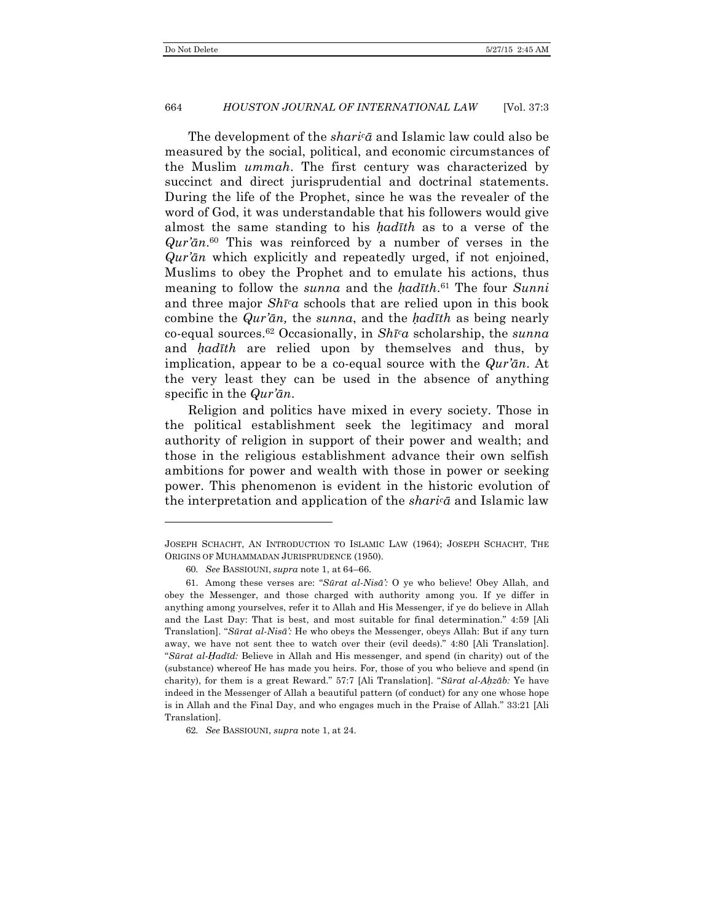# 664 *HOUSTON JOURNAL OF INTERNATIONAL LAW* [Vol. 37:3

The development of the *sharicā* and Islamic law could also be measured by the social, political, and economic circumstances of the Muslim *ummah*. The first century was characterized by succinct and direct jurisprudential and doctrinal statements. During the life of the Prophet, since he was the revealer of the word of God, it was understandable that his followers would give almost the same standing to his *ḥadīth* as to a verse of the *Qur'ān*. <sup>60</sup> This was reinforced by a number of verses in the *Qur'ān* which explicitly and repeatedly urged, if not enjoined, Muslims to obey the Prophet and to emulate his actions, thus meaning to follow the *sunna* and the *ḥadīth*.61 The four *Sunni* and three major *Shīca* schools that are relied upon in this book combine the *Qur'ān,* the *sunna*, and the *ḥadīth* as being nearly co-equal sources.62 Occasionally, in *Shīca* scholarship, the *sunna* and *ḥadīth* are relied upon by themselves and thus, by implication, appear to be a co-equal source with the *Qur'ān*. At the very least they can be used in the absence of anything specific in the *Qur'ān*.

Religion and politics have mixed in every society. Those in the political establishment seek the legitimacy and moral authority of religion in support of their power and wealth; and those in the religious establishment advance their own selfish ambitions for power and wealth with those in power or seeking power. This phenomenon is evident in the historic evolution of the interpretation and application of the *sharicā* and Islamic law

JOSEPH SCHACHT, AN INTRODUCTION TO ISLAMIC LAW (1964); JOSEPH SCHACHT, THE ORIGINS OF MUHAMMADAN JURISPRUDENCE (1950).

<sup>60</sup>*. See* BASSIOUNI, *supra* note 1, at 64–66.

<sup>61.</sup> Among these verses are: "*Sūrat al-Nisā':* O ye who believe! Obey Allah, and obey the Messenger, and those charged with authority among you. If ye differ in anything among yourselves, refer it to Allah and His Messenger, if ye do believe in Allah and the Last Day: That is best, and most suitable for final determination." 4:59 [Ali Translation]. "*Sūrat al-Nisā':* He who obeys the Messenger, obeys Allah: But if any turn away, we have not sent thee to watch over their (evil deeds)." 4:80 [Ali Translation]. "*Sūrat al-Ḥadīd:* Believe in Allah and His messenger, and spend (in charity) out of the (substance) whereof He has made you heirs. For, those of you who believe and spend (in charity), for them is a great Reward." 57:7 [Ali Translation]. "*Sūrat al-Aḥzāb:* Ye have indeed in the Messenger of Allah a beautiful pattern (of conduct) for any one whose hope is in Allah and the Final Day, and who engages much in the Praise of Allah." 33:21 [Ali Translation].

<sup>62</sup>*. See* BASSIOUNI, *supra* note 1, at 24.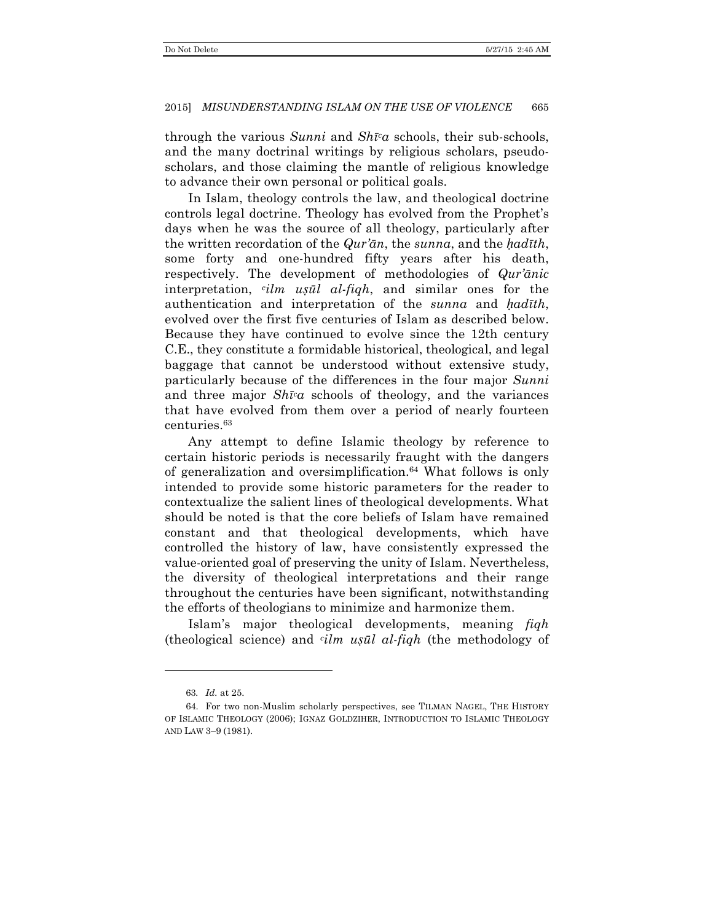# 2015] *MISUNDERSTANDING ISLAM ON THE USE OF VIOLENCE* 665

through the various *Sunni* and *Shīca* schools, their sub-schools, and the many doctrinal writings by religious scholars, pseudoscholars, and those claiming the mantle of religious knowledge to advance their own personal or political goals.

In Islam, theology controls the law, and theological doctrine controls legal doctrine. Theology has evolved from the Prophet's days when he was the source of all theology, particularly after the written recordation of the *Qur'ān*, the *sunna*, and the *ḥadīth*, some forty and one-hundred fifty years after his death, respectively. The development of methodologies of *Qur'ānic*  interpretation, *cilm uṣūl al-fiqh*, and similar ones for the authentication and interpretation of the *sunna* and *ḥadīth*, evolved over the first five centuries of Islam as described below. Because they have continued to evolve since the 12th century C.E., they constitute a formidable historical, theological, and legal baggage that cannot be understood without extensive study, particularly because of the differences in the four major *Sunni* and three major *Shīca* schools of theology, and the variances that have evolved from them over a period of nearly fourteen centuries.63

Any attempt to define Islamic theology by reference to certain historic periods is necessarily fraught with the dangers of generalization and oversimplification.64 What follows is only intended to provide some historic parameters for the reader to contextualize the salient lines of theological developments. What should be noted is that the core beliefs of Islam have remained constant and that theological developments, which have controlled the history of law, have consistently expressed the value-oriented goal of preserving the unity of Islam. Nevertheless, the diversity of theological interpretations and their range throughout the centuries have been significant, notwithstanding the efforts of theologians to minimize and harmonize them.

Islam's major theological developments, meaning *fiqh*  (theological science) and *cilm uṣūl al-fiqh* (the methodology of

1

<sup>63</sup>*. Id.* at 25.

<sup>64.</sup> For two non-Muslim scholarly perspectives, see TILMAN NAGEL, THE HISTORY OF ISLAMIC THEOLOGY (2006); IGNAZ GOLDZIHER, INTRODUCTION TO ISLAMIC THEOLOGY AND LAW 3–9 (1981).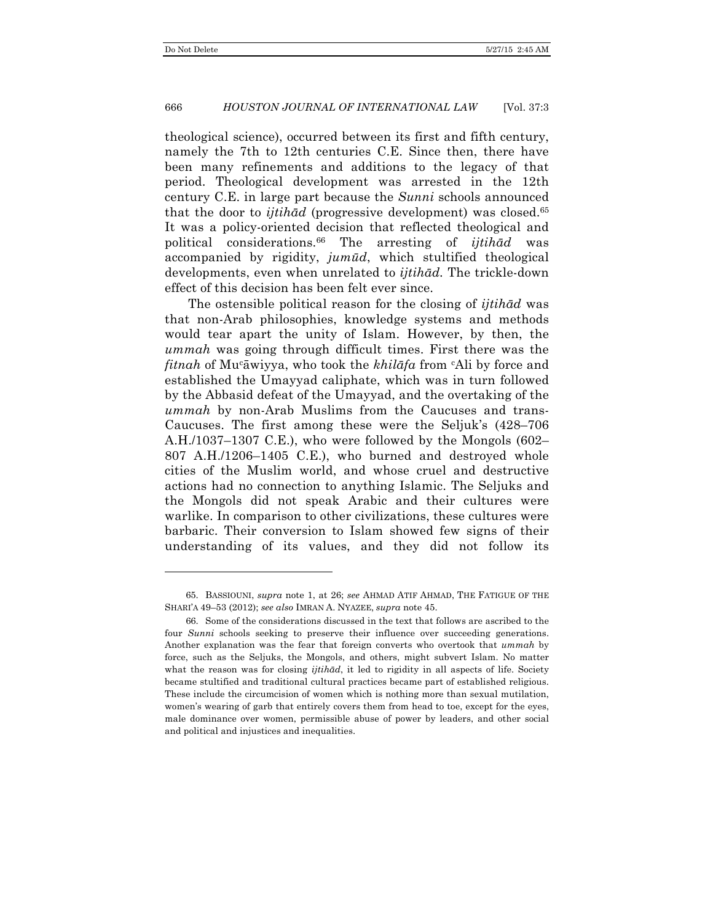## 666 *HOUSTON JOURNAL OF INTERNATIONAL LAW* [Vol. 37:3

theological science), occurred between its first and fifth century, namely the 7th to 12th centuries C.E. Since then, there have been many refinements and additions to the legacy of that period. Theological development was arrested in the 12th century C.E. in large part because the *Sunni* schools announced that the door to *ijtihād* (progressive development) was closed.65 It was a policy-oriented decision that reflected theological and political considerations.66 The arresting of *ijtihād* was accompanied by rigidity, *jumūd*, which stultified theological developments, even when unrelated to *ijtihād.* The trickle-down effect of this decision has been felt ever since.

The ostensible political reason for the closing of *ijtihād* was that non-Arab philosophies, knowledge systems and methods would tear apart the unity of Islam. However, by then, the *ummah* was going through difficult times. First there was the *fitnah* of Muc āwiyya, who took the *khilāfa* from c Ali by force and established the Umayyad caliphate, which was in turn followed by the Abbasid defeat of the Umayyad, and the overtaking of the *ummah* by non-Arab Muslims from the Caucuses and trans-Caucuses. The first among these were the Seljuk's (428–706 A.H./1037–1307 C.E.), who were followed by the Mongols (602– 807 A.H./1206–1405 C.E.), who burned and destroyed whole cities of the Muslim world, and whose cruel and destructive actions had no connection to anything Islamic. The Seljuks and the Mongols did not speak Arabic and their cultures were warlike. In comparison to other civilizations, these cultures were barbaric. Their conversion to Islam showed few signs of their understanding of its values, and they did not follow its

<sup>65.</sup> BASSIOUNI, *supra* note 1, at 26; *see* AHMAD ATIF AHMAD, THE FATIGUE OF THE SHARI'A 49–53 (2012); *see also* IMRAN A. NYAZEE, *supra* note 45.

<sup>66.</sup> Some of the considerations discussed in the text that follows are ascribed to the four *Sunni* schools seeking to preserve their influence over succeeding generations. Another explanation was the fear that foreign converts who overtook that *ummah* by force, such as the Seljuks, the Mongols, and others, might subvert Islam. No matter what the reason was for closing *ijtihād*, it led to rigidity in all aspects of life. Society became stultified and traditional cultural practices became part of established religious. These include the circumcision of women which is nothing more than sexual mutilation, women's wearing of garb that entirely covers them from head to toe, except for the eyes, male dominance over women, permissible abuse of power by leaders, and other social and political and injustices and inequalities.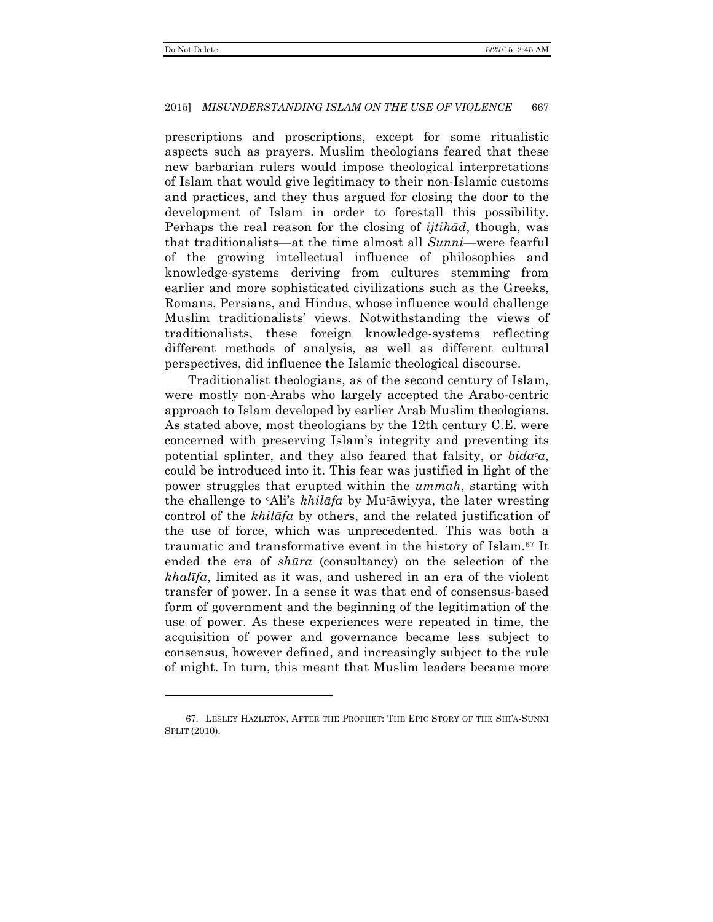# 2015] *MISUNDERSTANDING ISLAM ON THE USE OF VIOLENCE* 667

prescriptions and proscriptions, except for some ritualistic aspects such as prayers. Muslim theologians feared that these new barbarian rulers would impose theological interpretations of Islam that would give legitimacy to their non-Islamic customs and practices, and they thus argued for closing the door to the development of Islam in order to forestall this possibility. Perhaps the real reason for the closing of *ijtihād*, though, was that traditionalists—at the time almost all *Sunni*—were fearful of the growing intellectual influence of philosophies and knowledge-systems deriving from cultures stemming from earlier and more sophisticated civilizations such as the Greeks, Romans, Persians, and Hindus, whose influence would challenge Muslim traditionalists' views. Notwithstanding the views of traditionalists, these foreign knowledge-systems reflecting different methods of analysis, as well as different cultural perspectives, did influence the Islamic theological discourse.

Traditionalist theologians, as of the second century of Islam, were mostly non-Arabs who largely accepted the Arabo-centric approach to Islam developed by earlier Arab Muslim theologians. As stated above, most theologians by the 12th century C.E. were concerned with preserving Islam's integrity and preventing its potential splinter, and they also feared that falsity, or *bidaca*, could be introduced into it. This fear was justified in light of the power struggles that erupted within the *ummah*, starting with the challenge to c Ali's *khilāfa* by Muc āwiyya, the later wresting control of the *khilāfa* by others, and the related justification of the use of force, which was unprecedented. This was both a traumatic and transformative event in the history of Islam.67 It ended the era of *shūra* (consultancy) on the selection of the *khalīfa*, limited as it was, and ushered in an era of the violent transfer of power. In a sense it was that end of consensus-based form of government and the beginning of the legitimation of the use of power. As these experiences were repeated in time, the acquisition of power and governance became less subject to consensus, however defined, and increasingly subject to the rule of might. In turn, this meant that Muslim leaders became more

<sup>67.</sup> LESLEY HAZLETON, AFTER THE PROPHET: THE EPIC STORY OF THE SHI'A-SUNNI SPLIT (2010).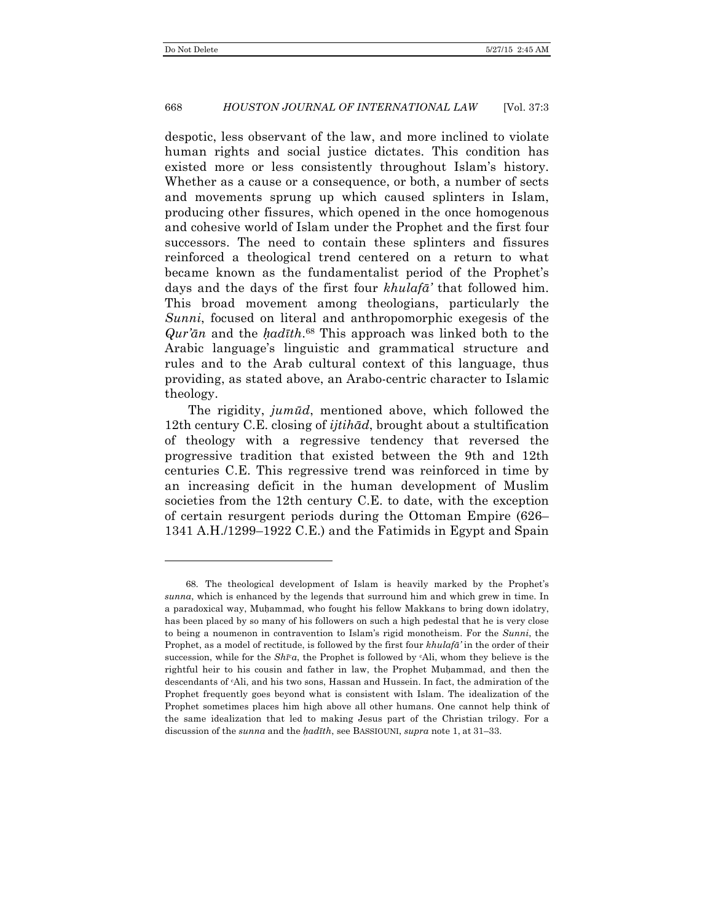# 668 *HOUSTON JOURNAL OF INTERNATIONAL LAW* [Vol. 37:3

despotic, less observant of the law, and more inclined to violate human rights and social justice dictates. This condition has existed more or less consistently throughout Islam's history. Whether as a cause or a consequence, or both, a number of sects and movements sprung up which caused splinters in Islam, producing other fissures, which opened in the once homogenous and cohesive world of Islam under the Prophet and the first four successors. The need to contain these splinters and fissures reinforced a theological trend centered on a return to what became known as the fundamentalist period of the Prophet's days and the days of the first four *khulafā'* that followed him. This broad movement among theologians, particularly the *Sunni*, focused on literal and anthropomorphic exegesis of the *Qur'ān* and the *ḥadīth*.68 This approach was linked both to the Arabic language's linguistic and grammatical structure and rules and to the Arab cultural context of this language, thus providing, as stated above, an Arabo-centric character to Islamic theology.

The rigidity, *jumūd*, mentioned above, which followed the 12th century C.E. closing of *ijtihād*, brought about a stultification of theology with a regressive tendency that reversed the progressive tradition that existed between the 9th and 12th centuries C.E. This regressive trend was reinforced in time by an increasing deficit in the human development of Muslim societies from the 12th century C.E. to date, with the exception of certain resurgent periods during the Ottoman Empire (626– 1341 A.H./1299–1922 C.E.) and the Fatimids in Egypt and Spain

<sup>68.</sup> The theological development of Islam is heavily marked by the Prophet's *sunna*, which is enhanced by the legends that surround him and which grew in time. In a paradoxical way, Muḥammad, who fought his fellow Makkans to bring down idolatry, has been placed by so many of his followers on such a high pedestal that he is very close to being a noumenon in contravention to Islam's rigid monotheism. For the *Sunni*, the Prophet, as a model of rectitude, is followed by the first four *khulafā'* in the order of their succession, while for the  $\textit{Sh}^{\tau}a$ , the Prophet is followed by <sup>c</sup>Ali, whom they believe is the rightful heir to his cousin and father in law, the Prophet Muḥammad, and then the descendants of cAli, and his two sons, Hassan and Hussein. In fact, the admiration of the Prophet frequently goes beyond what is consistent with Islam. The idealization of the Prophet sometimes places him high above all other humans. One cannot help think of the same idealization that led to making Jesus part of the Christian trilogy. For a discussion of the *sunna* and the *ḥadīth*, see BASSIOUNI, *supra* note 1, at 31–33.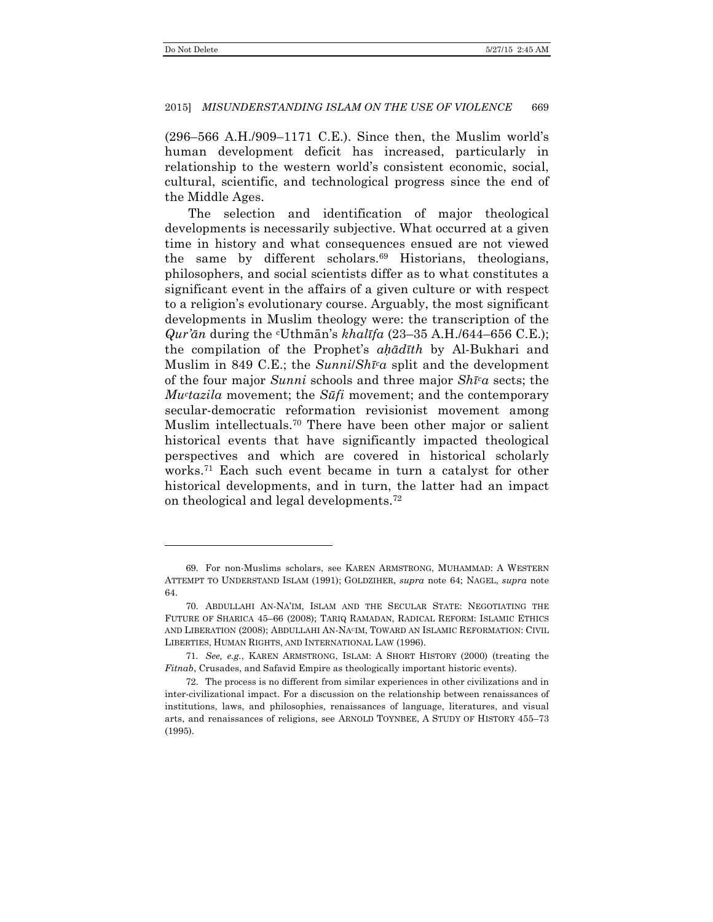# 2015] *MISUNDERSTANDING ISLAM ON THE USE OF VIOLENCE* 669

(296–566 A.H./909–1171 C.E.). Since then, the Muslim world's human development deficit has increased, particularly in relationship to the western world's consistent economic, social, cultural, scientific, and technological progress since the end of the Middle Ages.

The selection and identification of major theological developments is necessarily subjective. What occurred at a given time in history and what consequences ensued are not viewed the same by different scholars.69 Historians, theologians, philosophers, and social scientists differ as to what constitutes a significant event in the affairs of a given culture or with respect to a religion's evolutionary course. Arguably, the most significant developments in Muslim theology were: the transcription of the *Qur'ān* during the c Uthmān's *khalīfa* (23–35 A.H./644–656 C.E.); the compilation of the Prophet's *aḥādīth* by Al-Bukhari and Muslim in 849 C.E.; the *Sunni*/*Shīca* split and the development of the four major *Sunni* schools and three major *Shīca* sects; the *Muctazila* movement; the *Sūfi* movement; and the contemporary secular-democratic reformation revisionist movement among Muslim intellectuals.70 There have been other major or salient historical events that have significantly impacted theological perspectives and which are covered in historical scholarly works.71 Each such event became in turn a catalyst for other historical developments, and in turn, the latter had an impact on theological and legal developments.72

<sup>69.</sup> For non-Muslims scholars, see KAREN ARMSTRONG, MUHAMMAD: A WESTERN ATTEMPT TO UNDERSTAND ISLAM (1991); GOLDZIHER, *supra* note 64; NAGEL, *supra* note 64.

<sup>70.</sup> ABDULLAHI AN-NA'IM, ISLAM AND THE SECULAR STATE: NEGOTIATING THE FUTURE OF SHARICA 45–66 (2008); TARIQ RAMADAN, RADICAL REFORM: ISLAMIC ETHICS AND LIBERATION (2008); ABDULLAHI AN-NACIM, TOWARD AN ISLAMIC REFORMATION: CIVIL LIBERTIES, HUMAN RIGHTS, AND INTERNATIONAL LAW (1996).

<sup>71</sup>*. See, e.g.*, KAREN ARMSTRONG, ISLAM: A SHORT HISTORY (2000) (treating the *Fitnab*, Crusades, and Safavid Empire as theologically important historic events).

<sup>72.</sup> The process is no different from similar experiences in other civilizations and in inter-civilizational impact. For a discussion on the relationship between renaissances of institutions, laws, and philosophies, renaissances of language, literatures, and visual arts, and renaissances of religions, see ARNOLD TOYNBEE, A STUDY OF HISTORY 455–73 (1995).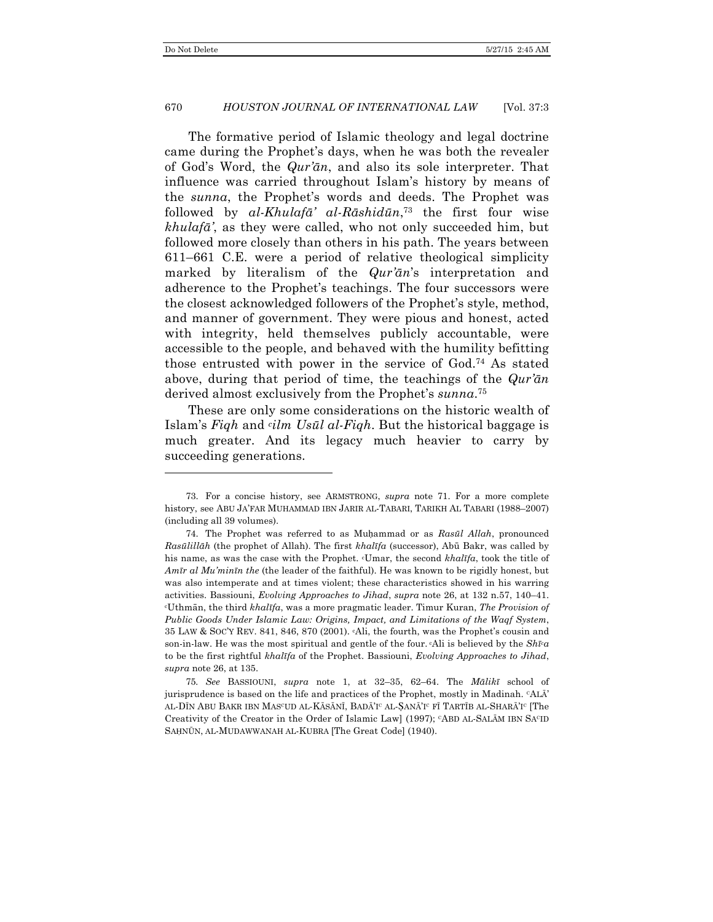# 670 *HOUSTON JOURNAL OF INTERNATIONAL LAW* [Vol. 37:3

The formative period of Islamic theology and legal doctrine came during the Prophet's days, when he was both the revealer of God's Word, the *Qur'ān*, and also its sole interpreter. That influence was carried throughout Islam's history by means of the *sunna*, the Prophet's words and deeds. The Prophet was followed by *al-Khulafā' al-Rāshidūn*, <sup>73</sup> the first four wise *khulafā'*, as they were called, who not only succeeded him, but followed more closely than others in his path. The years between 611–661 C.E. were a period of relative theological simplicity marked by literalism of the *Qur'ān*'s interpretation and adherence to the Prophet's teachings. The four successors were the closest acknowledged followers of the Prophet's style, method, and manner of government. They were pious and honest, acted with integrity, held themselves publicly accountable, were accessible to the people, and behaved with the humility befitting those entrusted with power in the service of God.74 As stated above, during that period of time, the teachings of the *Qur'ān* derived almost exclusively from the Prophet's *sunna*. 75

These are only some considerations on the historic wealth of Islam's *Fiqh* and *cilm Usūl al-Fiqh*. But the historical baggage is much greater. And its legacy much heavier to carry by succeeding generations.

<sup>73.</sup> For a concise history, see ARMSTRONG, *supra* note 71. For a more complete history, see ABU JA'FAR MUHAMMAD IBN JARIR AL-TABARI, TARIKH AL TABARI (1988–2007) (including all 39 volumes).

<sup>74.</sup> The Prophet was referred to as Muḥammad or as *Rasūl Allah*, pronounced *Rasūlillāh* (the prophet of Allah). The first *khalīfa* (successor), Abū Bakr, was called by his name, as was the case with the Prophet. cUmar, the second *khalīfa*, took the title of *Amīr al Mu'minīn the* (the leader of the faithful). He was known to be rigidly honest, but was also intemperate and at times violent; these characteristics showed in his warring activities. Bassiouni, *Evolving Approaches to Jihad*, *supra* note 26, at 132 n.57, 140–41. cUthmān, the third *khalīfa*, was a more pragmatic leader. Timur Kuran, *The Provision of Public Goods Under Islamic Law: Origins, Impact, and Limitations of the Waqf System*, 35 LAW & SOC'Y REV. 841, 846, 870 (2001). cAli, the fourth, was the Prophet's cousin and son-in-law. He was the most spiritual and gentle of the four. cAli is believed by the *Shīca* to be the first rightful *khalīfa* of the Prophet. Bassiouni, *Evolving Approaches to Jihad*, *supra* note 26, at 135.

<sup>75</sup>*. See* BASSIOUNI, *supra* note 1, at 32–35, 62–64. The *Mālikī* school of jurisprudence is based on the life and practices of the Prophet, mostly in Madinah. CALĀ' AL-DĪN ABU BAKR IBN MASCUD AL-KĀSĀNĪ, BADĀ'IC AL-ṢANĀ'IC FĪ TARTĪB AL-SHARĀ'IC [The Creativity of the Creator in the Order of Islamic Law] (1997); <sup>c</sup>ABD AL-SALĀM IBN SA<sup>c</sup>ID SAḤNŪN, AL-MUDAWWANAH AL-KUBRA [The Great Code] (1940).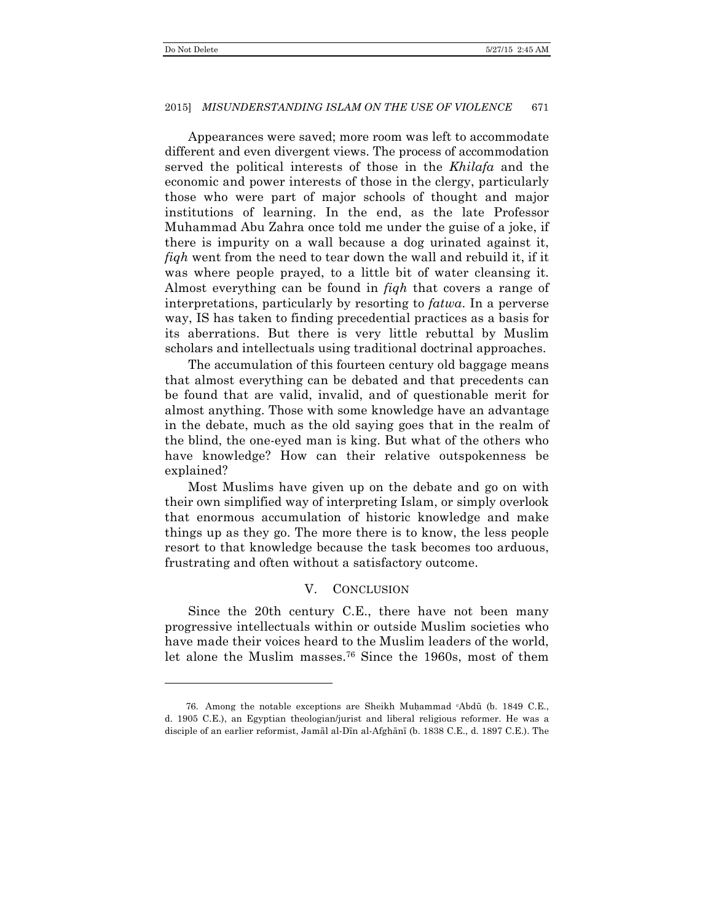## 2015] *MISUNDERSTANDING ISLAM ON THE USE OF VIOLENCE* 671

Appearances were saved; more room was left to accommodate different and even divergent views. The process of accommodation served the political interests of those in the *Khilafa* and the economic and power interests of those in the clergy, particularly those who were part of major schools of thought and major institutions of learning. In the end, as the late Professor Muhammad Abu Zahra once told me under the guise of a joke, if there is impurity on a wall because a dog urinated against it, *fiqh* went from the need to tear down the wall and rebuild it, if it was where people prayed, to a little bit of water cleansing it. Almost everything can be found in *fiqh* that covers a range of interpretations, particularly by resorting to *fatwa*. In a perverse way, IS has taken to finding precedential practices as a basis for its aberrations. But there is very little rebuttal by Muslim scholars and intellectuals using traditional doctrinal approaches.

The accumulation of this fourteen century old baggage means that almost everything can be debated and that precedents can be found that are valid, invalid, and of questionable merit for almost anything. Those with some knowledge have an advantage in the debate, much as the old saying goes that in the realm of the blind, the one-eyed man is king. But what of the others who have knowledge? How can their relative outspokenness be explained?

Most Muslims have given up on the debate and go on with their own simplified way of interpreting Islam, or simply overlook that enormous accumulation of historic knowledge and make things up as they go. The more there is to know, the less people resort to that knowledge because the task becomes too arduous, frustrating and often without a satisfactory outcome.

# V. CONCLUSION

Since the 20th century C.E., there have not been many progressive intellectuals within or outside Muslim societies who have made their voices heard to the Muslim leaders of the world, let alone the Muslim masses.76 Since the 1960s, most of them

<sup>76.</sup> Among the notable exceptions are Sheikh Muḥammad cAbdū (b. 1849 C.E., d. 1905 C.E.), an Egyptian theologian/jurist and liberal religious reformer. He was a disciple of an earlier reformist, Jamāl al-Dīn al-Afghānī (b. 1838 C.E., d. 1897 C.E.). The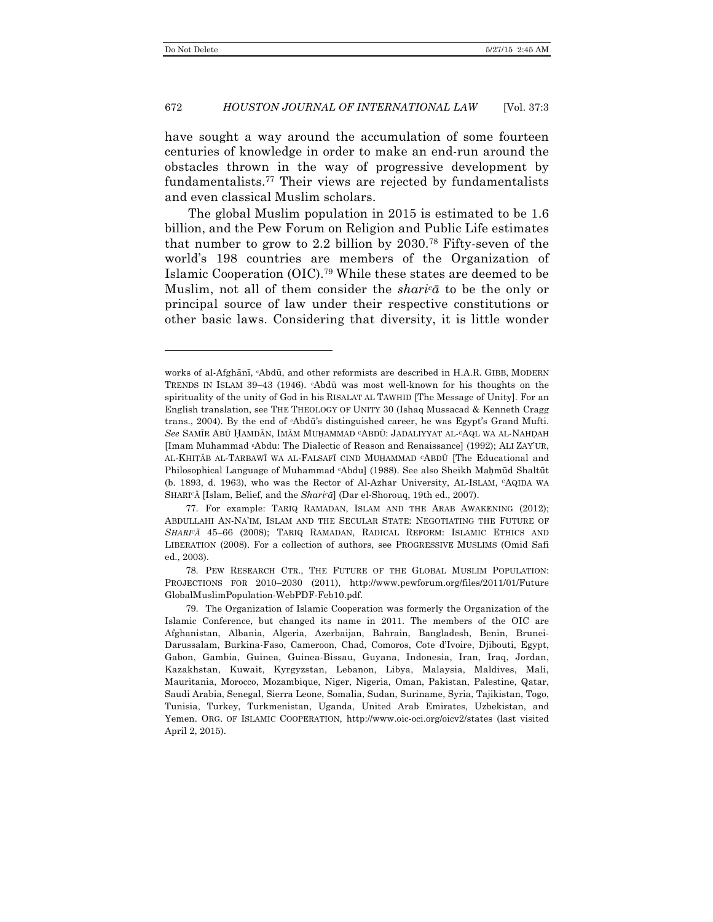# 672 *HOUSTON JOURNAL OF INTERNATIONAL LAW* [Vol. 37:3

have sought a way around the accumulation of some fourteen centuries of knowledge in order to make an end-run around the obstacles thrown in the way of progressive development by fundamentalists.77 Their views are rejected by fundamentalists and even classical Muslim scholars.

The global Muslim population in 2015 is estimated to be 1.6 billion, and the Pew Forum on Religion and Public Life estimates that number to grow to 2.2 billion by 2030.78 Fifty-seven of the world's 198 countries are members of the Organization of Islamic Cooperation (OIC).79 While these states are deemed to be Muslim, not all of them consider the *sharicā* to be the only or principal source of law under their respective constitutions or other basic laws. Considering that diversity, it is little wonder

works of al-Afghānī, cAbdū, and other reformists are described in H.A.R. GIBB, MODERN TRENDS IN ISLAM 39–43 (1946). cAbdū was most well-known for his thoughts on the spirituality of the unity of God in his RISALAT AL TAWHID [The Message of Unity]. For an English translation, see THE THEOLOGY OF UNITY 30 (Ishaq Mussacad & Kenneth Cragg trans., 2004). By the end of cAbdū's distinguished career, he was Egypt's Grand Mufti. *See* SAMĪR ABŪ ḤAMDĀN, IMĀM MUḤAMMAD CABDŪ: JADALIYYAT AL-CAQL WA AL-NAHḌAH [Imam Muhammad cAbdu: The Dialectic of Reason and Renaissance] (1992); ALI ZAY'UR, AL-KHIṬĀB AL-TARBAWĪ WA AL-FALSAFĪ CIND MUḤAMMAD CABDŪ [The Educational and Philosophical Language of Muhammad <sup>c</sup>Abdul (1988). See also Sheikh Mahmūd Shaltūt (b. 1893, d. 1963), who was the Rector of Al-Azhar University, AL-ISLAM, CAQIDA WA SHARICĀ [Islam, Belief, and the *Sharicā*] (Dar el-Shorouq, 19th ed., 2007).

<sup>77.</sup> For example: TARIQ RAMADAN, ISLAM AND THE ARAB AWAKENING (2012); ABDULLAHI AN-NA'IM, ISLAM AND THE SECULAR STATE: NEGOTIATING THE FUTURE OF *SHARICĀ* 45–66 (2008); TARIQ RAMADAN, RADICAL REFORM: ISLAMIC ETHICS AND LIBERATION (2008). For a collection of authors, see PROGRESSIVE MUSLIMS (Omid Safi ed., 2003).

<sup>78.</sup> PEW RESEARCH CTR., THE FUTURE OF THE GLOBAL MUSLIM POPULATION: PROJECTIONS FOR 2010–2030 (2011), http://www.pewforum.org/files/2011/01/Future GlobalMuslimPopulation-WebPDF-Feb10.pdf.

<sup>79.</sup> The Organization of Islamic Cooperation was formerly the Organization of the Islamic Conference, but changed its name in 2011. The members of the OIC are Afghanistan, Albania, Algeria, Azerbaijan, Bahrain, Bangladesh, Benin, Brunei-Darussalam, Burkina-Faso, Cameroon, Chad, Comoros, Cote d'Ivoire, Djibouti, Egypt, Gabon, Gambia, Guinea, Guinea-Bissau, Guyana, Indonesia, Iran, Iraq, Jordan, Kazakhstan, Kuwait, Kyrgyzstan, Lebanon, Libya, Malaysia, Maldives, Mali, Mauritania, Morocco, Mozambique, Niger, Nigeria, Oman, Pakistan, Palestine, Qatar, Saudi Arabia, Senegal, Sierra Leone, Somalia, Sudan, Suriname, Syria, Tajikistan, Togo, Tunisia, Turkey, Turkmenistan, Uganda, United Arab Emirates, Uzbekistan, and Yemen. ORG. OF ISLAMIC COOPERATION, http://www.oic-oci.org/oicv2/states (last visited April 2, 2015).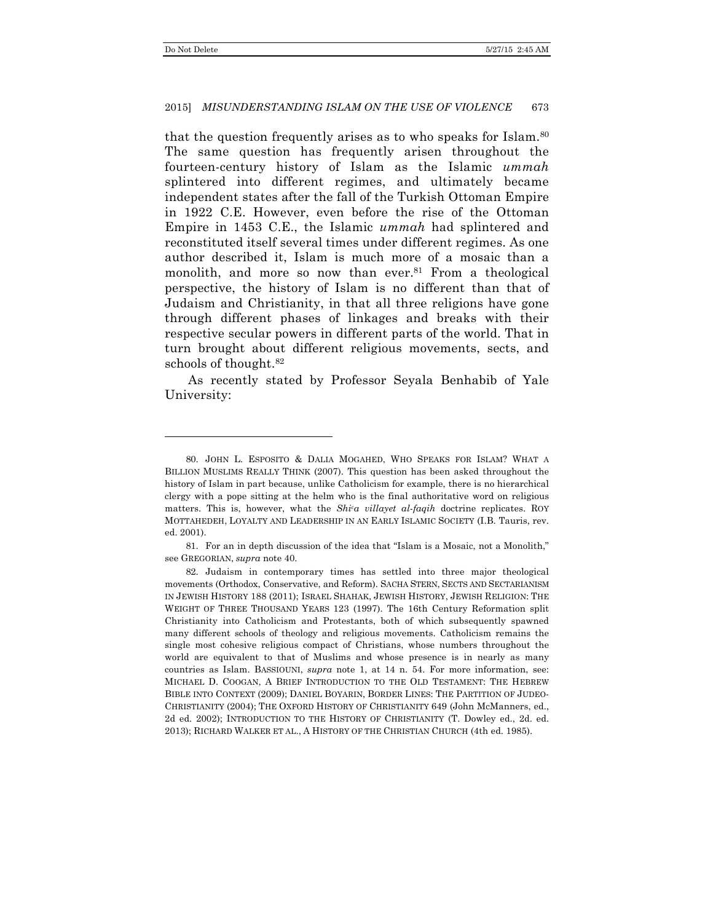#### 2015] *MISUNDERSTANDING ISLAM ON THE USE OF VIOLENCE* 673

that the question frequently arises as to who speaks for Islam.<sup>80</sup> The same question has frequently arisen throughout the fourteen-century history of Islam as the Islamic *ummah* splintered into different regimes, and ultimately became independent states after the fall of the Turkish Ottoman Empire in 1922 C.E. However, even before the rise of the Ottoman Empire in 1453 C.E., the Islamic *ummah* had splintered and reconstituted itself several times under different regimes. As one author described it, Islam is much more of a mosaic than a monolith, and more so now than ever.<sup>81</sup> From a theological perspective, the history of Islam is no different than that of Judaism and Christianity, in that all three religions have gone through different phases of linkages and breaks with their respective secular powers in different parts of the world. That in turn brought about different religious movements, sects, and schools of thought.82

As recently stated by Professor Seyala Benhabib of Yale University:

81. For an in depth discussion of the idea that "Islam is a Mosaic, not a Monolith," see GREGORIAN, *supra* note 40.

<sup>80.</sup> JOHN L. ESPOSITO & DALIA MOGAHED, WHO SPEAKS FOR ISLAM? WHAT A BILLION MUSLIMS REALLY THINK (2007). This question has been asked throughout the history of Islam in part because, unlike Catholicism for example, there is no hierarchical clergy with a pope sitting at the helm who is the final authoritative word on religious matters. This is, however, what the *Shica villayet al-faqih* doctrine replicates. ROY MOTTAHEDEH, LOYALTY AND LEADERSHIP IN AN EARLY ISLAMIC SOCIETY (I.B. Tauris, rev. ed. 2001).

<sup>82.</sup> Judaism in contemporary times has settled into three major theological movements (Orthodox, Conservative, and Reform). SACHA STERN, SECTS AND SECTARIANISM IN JEWISH HISTORY 188 (2011); ISRAEL SHAHAK, JEWISH HISTORY, JEWISH RELIGION: THE WEIGHT OF THREE THOUSAND YEARS 123 (1997). The 16th Century Reformation split Christianity into Catholicism and Protestants, both of which subsequently spawned many different schools of theology and religious movements. Catholicism remains the single most cohesive religious compact of Christians, whose numbers throughout the world are equivalent to that of Muslims and whose presence is in nearly as many countries as Islam. BASSIOUNI, *supra* note 1, at 14 n. 54. For more information, see: MICHAEL D. COOGAN, A BRIEF INTRODUCTION TO THE OLD TESTAMENT: THE HEBREW BIBLE INTO CONTEXT (2009); DANIEL BOYARIN, BORDER LINES: THE PARTITION OF JUDEO-CHRISTIANITY (2004); THE OXFORD HISTORY OF CHRISTIANITY 649 (John McManners, ed., 2d ed. 2002); INTRODUCTION TO THE HISTORY OF CHRISTIANITY (T. Dowley ed., 2d. ed. 2013); RICHARD WALKER ET AL., A HISTORY OF THE CHRISTIAN CHURCH (4th ed. 1985).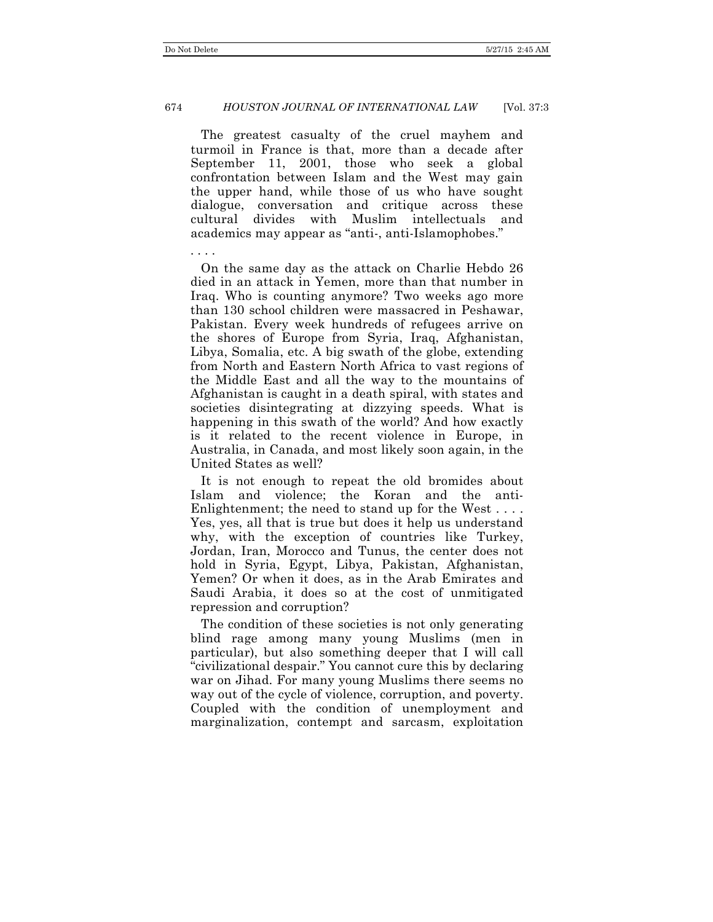. . . .

### 674 *HOUSTON JOURNAL OF INTERNATIONAL LAW* [Vol. 37:3

The greatest casualty of the cruel mayhem and turmoil in France is that, more than a decade after September 11, 2001, those who seek a global confrontation between Islam and the West may gain the upper hand, while those of us who have sought dialogue, conversation and critique across these cultural divides with Muslim intellectuals and academics may appear as "anti-, anti-Islamophobes."

On the same day as the attack on Charlie Hebdo 26 died in an attack in Yemen, more than that number in Iraq. Who is counting anymore? Two weeks ago more than 130 school children were massacred in Peshawar, Pakistan. Every week hundreds of refugees arrive on the shores of Europe from Syria, Iraq, Afghanistan, Libya, Somalia, etc. A big swath of the globe, extending from North and Eastern North Africa to vast regions of the Middle East and all the way to the mountains of Afghanistan is caught in a death spiral, with states and societies disintegrating at dizzying speeds. What is happening in this swath of the world? And how exactly is it related to the recent violence in Europe, in Australia, in Canada, and most likely soon again, in the United States as well?

It is not enough to repeat the old bromides about Islam and violence; the Koran and the anti-Enlightenment; the need to stand up for the West . . . . Yes, yes, all that is true but does it help us understand why, with the exception of countries like Turkey, Jordan, Iran, Morocco and Tunus, the center does not hold in Syria, Egypt, Libya, Pakistan, Afghanistan, Yemen? Or when it does, as in the Arab Emirates and Saudi Arabia, it does so at the cost of unmitigated repression and corruption?

The condition of these societies is not only generating blind rage among many young Muslims (men in particular), but also something deeper that I will call "civilizational despair." You cannot cure this by declaring war on Jihad. For many young Muslims there seems no way out of the cycle of violence, corruption, and poverty. Coupled with the condition of unemployment and marginalization, contempt and sarcasm, exploitation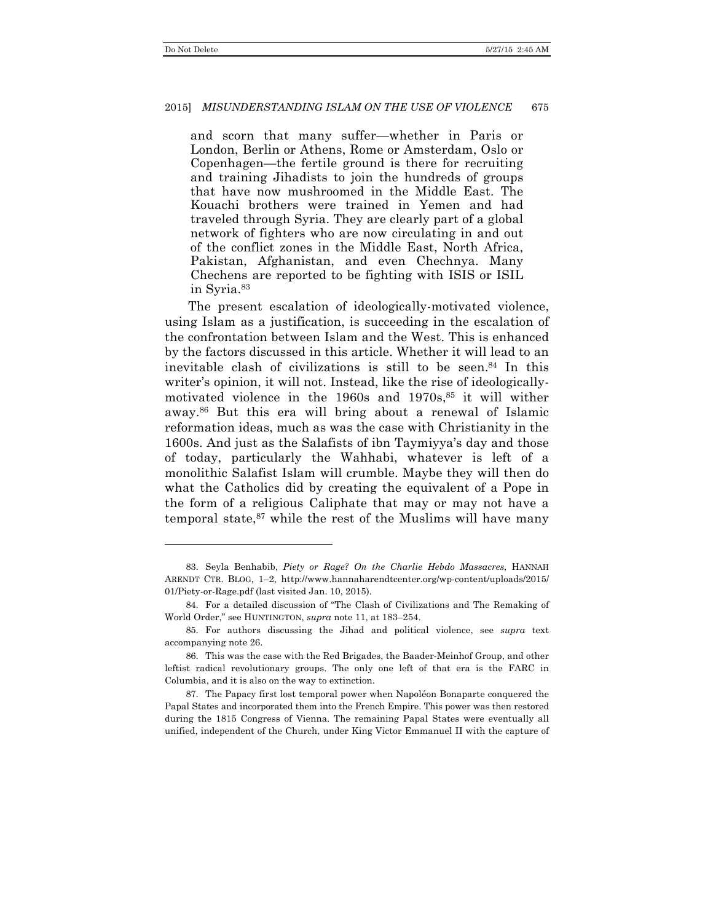#### 2015] *MISUNDERSTANDING ISLAM ON THE USE OF VIOLENCE* 675

and scorn that many suffer—whether in Paris or London, Berlin or Athens, Rome or Amsterdam, Oslo or Copenhagen—the fertile ground is there for recruiting and training Jihadists to join the hundreds of groups that have now mushroomed in the Middle East. The Kouachi brothers were trained in Yemen and had traveled through Syria. They are clearly part of a global network of fighters who are now circulating in and out of the conflict zones in the Middle East, North Africa, Pakistan, Afghanistan, and even Chechnya. Many Chechens are reported to be fighting with ISIS or ISIL in Syria.83

The present escalation of ideologically-motivated violence, using Islam as a justification, is succeeding in the escalation of the confrontation between Islam and the West. This is enhanced by the factors discussed in this article. Whether it will lead to an inevitable clash of civilizations is still to be seen.<sup>84</sup> In this writer's opinion, it will not. Instead, like the rise of ideologicallymotivated violence in the  $1960s$  and  $1970s$ ,  $85$  it will wither away.86 But this era will bring about a renewal of Islamic reformation ideas, much as was the case with Christianity in the 1600s. And just as the Salafists of ibn Taymiyya's day and those of today, particularly the Wahhabi, whatever is left of a monolithic Salafist Islam will crumble. Maybe they will then do what the Catholics did by creating the equivalent of a Pope in the form of a religious Caliphate that may or may not have a temporal state, $87$  while the rest of the Muslims will have many

<sup>83.</sup> Seyla Benhabib, *Piety or Rage? On the Charlie Hebdo Massacres*, HANNAH ARENDT CTR. BLOG, 1–2, http://www.hannaharendtcenter.org/wp-content/uploads/2015/ 01/Piety-or-Rage.pdf (last visited Jan. 10, 2015).

<sup>84.</sup> For a detailed discussion of "The Clash of Civilizations and The Remaking of World Order," see HUNTINGTON, *supra* note 11, at 183–254.

<sup>85.</sup> For authors discussing the Jihad and political violence, see *supra* text accompanying note 26.

<sup>86.</sup> This was the case with the Red Brigades, the Baader-Meinhof Group, and other leftist radical revolutionary groups. The only one left of that era is the FARC in Columbia, and it is also on the way to extinction.

<sup>87.</sup> The Papacy first lost temporal power when Napoléon Bonaparte conquered the Papal States and incorporated them into the French Empire. This power was then restored during the 1815 Congress of Vienna. The remaining Papal States were eventually all unified, independent of the Church, under King Victor Emmanuel II with the capture of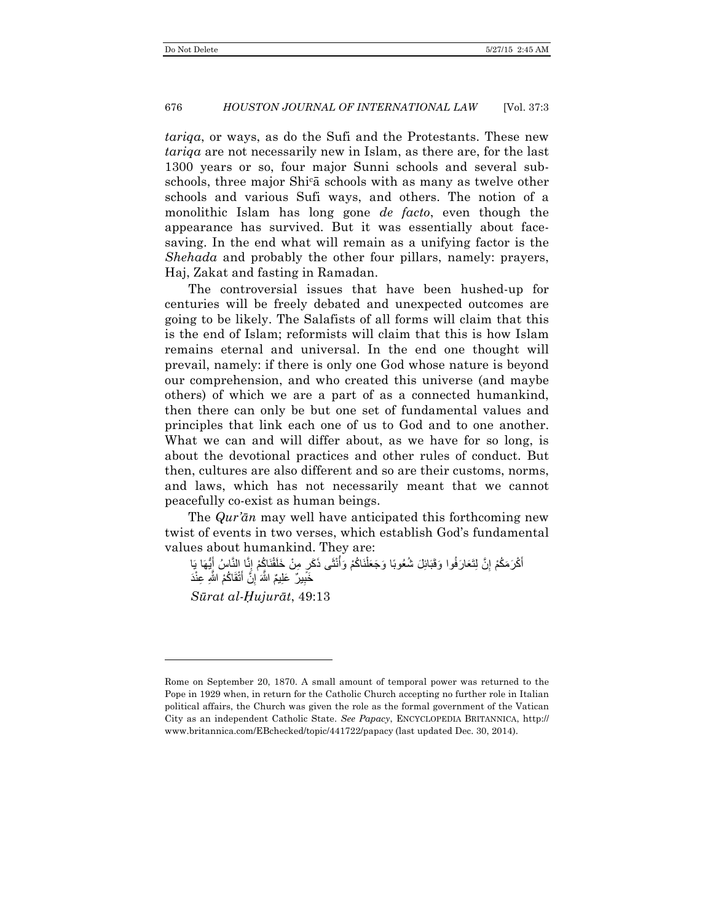# 676 *HOUSTON JOURNAL OF INTERNATIONAL LAW* [Vol. 37:3

*tariqa*, or ways, as do the Sufi and the Protestants. These new *tariqa* are not necessarily new in Islam, as there are, for the last 1300 years or so, four major Sunni schools and several subschools, three major Shi<sup>c</sup>a schools with as many as twelve other schools and various Sufi ways, and others. The notion of a monolithic Islam has long gone *de facto*, even though the appearance has survived. But it was essentially about facesaving. In the end what will remain as a unifying factor is the *Shehada* and probably the other four pillars, namely: prayers, Haj, Zakat and fasting in Ramadan.

The controversial issues that have been hushed-up for centuries will be freely debated and unexpected outcomes are going to be likely. The Salafists of all forms will claim that this is the end of Islam; reformists will claim that this is how Islam remains eternal and universal. In the end one thought will prevail, namely: if there is only one God whose nature is beyond our comprehension, and who created this universe (and maybe others) of which we are a part of as a connected humankind, then there can only be but one set of fundamental values and principles that link each one of us to God and to one another. What we can and will differ about, as we have for so long, is about the devotional practices and other rules of conduct. But then, cultures are also different and so are their customs, norms, and laws, which has not necessarily meant that we cannot peacefully co-exist as human beings.

The *Qur'ān* may well have anticipated this forthcoming new twist of events in two verses, which establish God's fundamental values about humankind. They are:

أَكْرَمَكُمْ إِنَّ لِتَعَارَفُوا وَقَبَائِلَ شُعُوبًا وَجَعَلْنَاكُمْ وَأُنْثَى ذَكَرٍ مِنْ خَلَقْنَاكُمْ إِنَّا النَّاسُ أَيُّهَا يَا<br>أَكْرَمَكُمْ إِنَّ لِتَعَارَفُوا وَقَبَائِلَ شُعُوبًا وَجَعَلْنَاكُمْ وَأُنْثَى ذَكَرٍ ا<br>ا خَبِيرٌ ۚ عَلِيمٌ اللَّهَ ٰإِنَّ أَتْقَاكُمْ اللَّهِ عِنْدَ *Sūrat al-Ḥujurāt*, 49:13

Rome on September 20, 1870. A small amount of temporal power was returned to the Pope in 1929 when, in return for the Catholic Church accepting no further role in Italian political affairs, the Church was given the role as the formal government of the Vatican City as an independent Catholic State. *See Papacy*, ENCYCLOPEDIA BRITANNICA, http:// www.britannica.com/EBchecked/topic/441722/papacy (last updated Dec. 30, 2014).